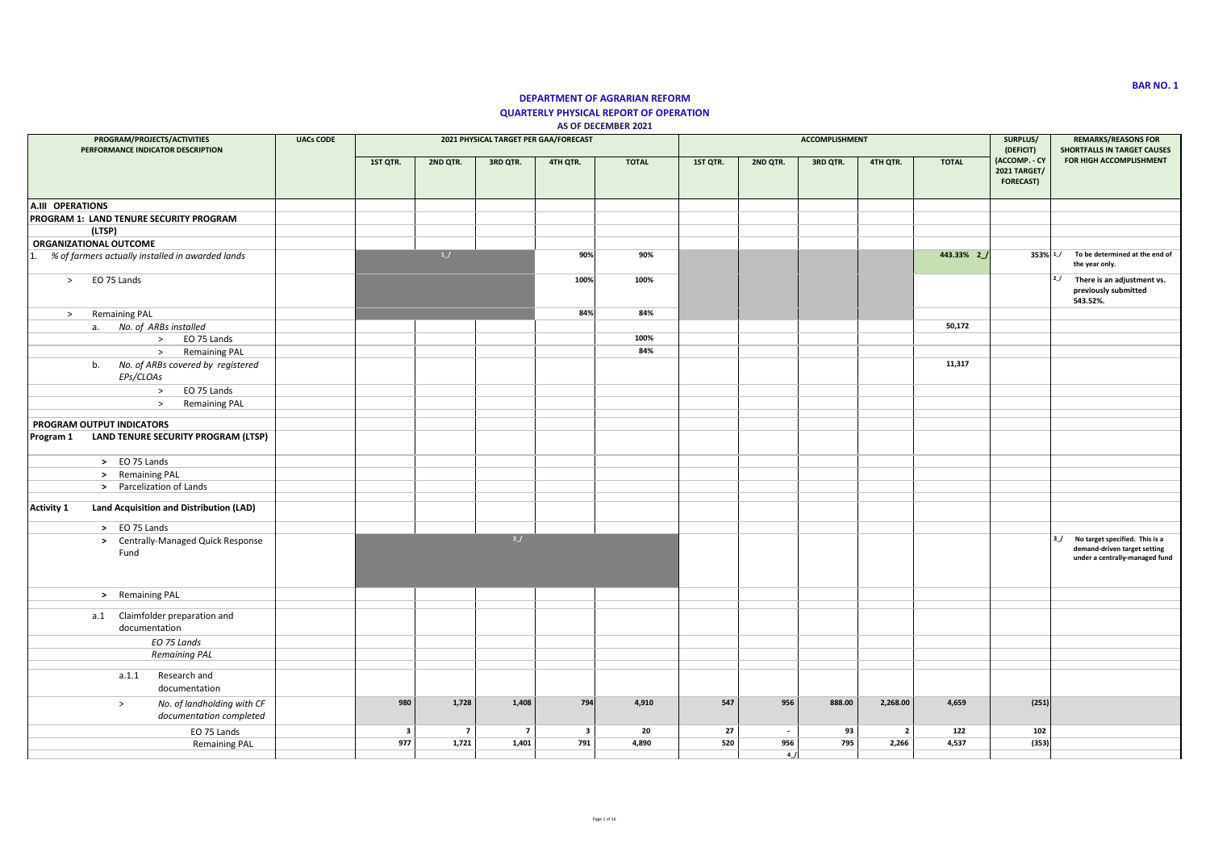## **DEPARTMENT OF AGRARIAN REFORM QUARTERLY PHYSICAL REPORT OF OPERATION AS OF DECEMBER 2021**

| PROGRAM/PROJECTS/ACTIVITIES<br>PERFORMANCE INDICATOR DESCRIPTION | <b>UACs CODE</b> |                         |                |                | 2021 PHYSICAL TARGET PER GAA/FORECAST |              |          |                          | <b>ACCOMPLISHMENT</b> |                |              | SURPLUS/<br>(DEFICIT)                                    | <b>REMARKS/REASONS FOR</b><br><b>SHORTFALLS IN TARGET CAUSES</b>                                     |
|------------------------------------------------------------------|------------------|-------------------------|----------------|----------------|---------------------------------------|--------------|----------|--------------------------|-----------------------|----------------|--------------|----------------------------------------------------------|------------------------------------------------------------------------------------------------------|
|                                                                  |                  | 1ST QTR.                | 2ND QTR.       | 3RD QTR.       | 4TH QTR.                              | <b>TOTAL</b> | 1ST QTR. | 2ND QTR.                 | 3RD QTR.              | 4TH QTR.       | <b>TOTAL</b> | (ACCOMP. - CY<br><b>2021 TARGET/</b><br><b>FORECAST)</b> | FOR HIGH ACCOMPLISHMENT                                                                              |
| A.III OPERATIONS                                                 |                  |                         |                |                |                                       |              |          |                          |                       |                |              |                                                          |                                                                                                      |
| PROGRAM 1: LAND TENURE SECURITY PROGRAM                          |                  |                         |                |                |                                       |              |          |                          |                       |                |              |                                                          |                                                                                                      |
| (LTSP)                                                           |                  |                         |                |                |                                       |              |          |                          |                       |                |              |                                                          |                                                                                                      |
| <b>ORGANIZATIONAL OUTCOME</b>                                    |                  |                         | 1              |                |                                       |              |          |                          |                       |                |              |                                                          |                                                                                                      |
| % of farmers actually installed in awarded lands<br>1.           |                  |                         |                |                | 90%                                   | 90%          |          |                          |                       |                | 443.33% 2    | $353\%$ $1$                                              | To be determined at the end of<br>the year only.                                                     |
| EO 75 Lands<br>>                                                 |                  |                         |                |                | 100%                                  | 100%         |          |                          |                       |                |              |                                                          | 2J<br>There is an adjustment vs.<br>previously submitted<br>543.52%.                                 |
| <b>Remaining PAL</b><br>$\geq$                                   |                  |                         |                |                | 84%                                   | 84%          |          |                          |                       |                |              |                                                          |                                                                                                      |
| No. of ARBs installed<br>a.                                      |                  |                         |                |                |                                       |              |          |                          |                       |                | 50,172       |                                                          |                                                                                                      |
| EO 75 Lands<br>$\geq$                                            |                  |                         |                |                |                                       | 100%         |          |                          |                       |                |              |                                                          |                                                                                                      |
| <b>Remaining PAL</b><br>$\geq$                                   |                  |                         |                |                |                                       | 84%          |          |                          |                       |                |              |                                                          |                                                                                                      |
| No. of ARBs covered by registered<br>b.<br>EPs/CLOAs             |                  |                         |                |                |                                       |              |          |                          |                       |                | 11,317       |                                                          |                                                                                                      |
| EO 75 Lands<br>$\rightarrow$                                     |                  |                         |                |                |                                       |              |          |                          |                       |                |              |                                                          |                                                                                                      |
| <b>Remaining PAL</b><br>$\rightarrow$                            |                  |                         |                |                |                                       |              |          |                          |                       |                |              |                                                          |                                                                                                      |
|                                                                  |                  |                         |                |                |                                       |              |          |                          |                       |                |              |                                                          |                                                                                                      |
| PROGRAM OUTPUT INDICATORS<br>LAND TENURE SECURITY PROGRAM (LTSP) |                  |                         |                |                |                                       |              |          |                          |                       |                |              |                                                          |                                                                                                      |
| Program 1                                                        |                  |                         |                |                |                                       |              |          |                          |                       |                |              |                                                          |                                                                                                      |
| > EO 75 Lands                                                    |                  |                         |                |                |                                       |              |          |                          |                       |                |              |                                                          |                                                                                                      |
| > Remaining PAL                                                  |                  |                         |                |                |                                       |              |          |                          |                       |                |              |                                                          |                                                                                                      |
| > Parcelization of Lands                                         |                  |                         |                |                |                                       |              |          |                          |                       |                |              |                                                          |                                                                                                      |
| <b>Activity 1</b><br>Land Acquisition and Distribution (LAD)     |                  |                         |                |                |                                       |              |          |                          |                       |                |              |                                                          |                                                                                                      |
| > EO 75 Lands                                                    |                  |                         |                |                |                                       |              |          |                          |                       |                |              |                                                          |                                                                                                      |
| > Centrally-Managed Quick Response<br>Fund                       |                  |                         |                | 3/             |                                       |              |          |                          |                       |                |              |                                                          | 3_/ No target specified. This is a<br>demand-driven target setting<br>under a centrally-managed fund |
| > Remaining PAL                                                  |                  |                         |                |                |                                       |              |          |                          |                       |                |              |                                                          |                                                                                                      |
| a.1 Claimfolder preparation and                                  |                  |                         |                |                |                                       |              |          |                          |                       |                |              |                                                          |                                                                                                      |
| documentation                                                    |                  |                         |                |                |                                       |              |          |                          |                       |                |              |                                                          |                                                                                                      |
| EO 75 Lands                                                      |                  |                         |                |                |                                       |              |          |                          |                       |                |              |                                                          |                                                                                                      |
| <b>Remaining PAL</b>                                             |                  |                         |                |                |                                       |              |          |                          |                       |                |              |                                                          |                                                                                                      |
| Research and<br>a.1.1                                            |                  |                         |                |                |                                       |              |          |                          |                       |                |              |                                                          |                                                                                                      |
| documentation                                                    |                  |                         |                |                |                                       |              |          |                          |                       |                |              |                                                          |                                                                                                      |
| No. of landholding with CF<br>$\,>$<br>documentation completed   |                  | 980                     | 1,728          | 1,408          | 794                                   | 4,910        | 547      | 956                      | 888.00                | 2,268.00       | 4,659        | (251)                                                    |                                                                                                      |
| EO 75 Lands                                                      |                  | $\overline{\mathbf{3}}$ | $\overline{7}$ | $\overline{7}$ | $\overline{\mathbf{3}}$               | 20           | 27       | $\overline{\phantom{a}}$ | 93                    | $\overline{2}$ | 122          | 102                                                      |                                                                                                      |
| <b>Remaining PAL</b>                                             |                  | 977                     | 1,721          | 1,401          | 791                                   | 4,890        | 520      | 956                      | 795                   | 2,266          | 4,537        | (353)                                                    |                                                                                                      |
|                                                                  |                  |                         |                |                |                                       |              |          | 4                        |                       |                |              |                                                          |                                                                                                      |

**BAR NO. 1**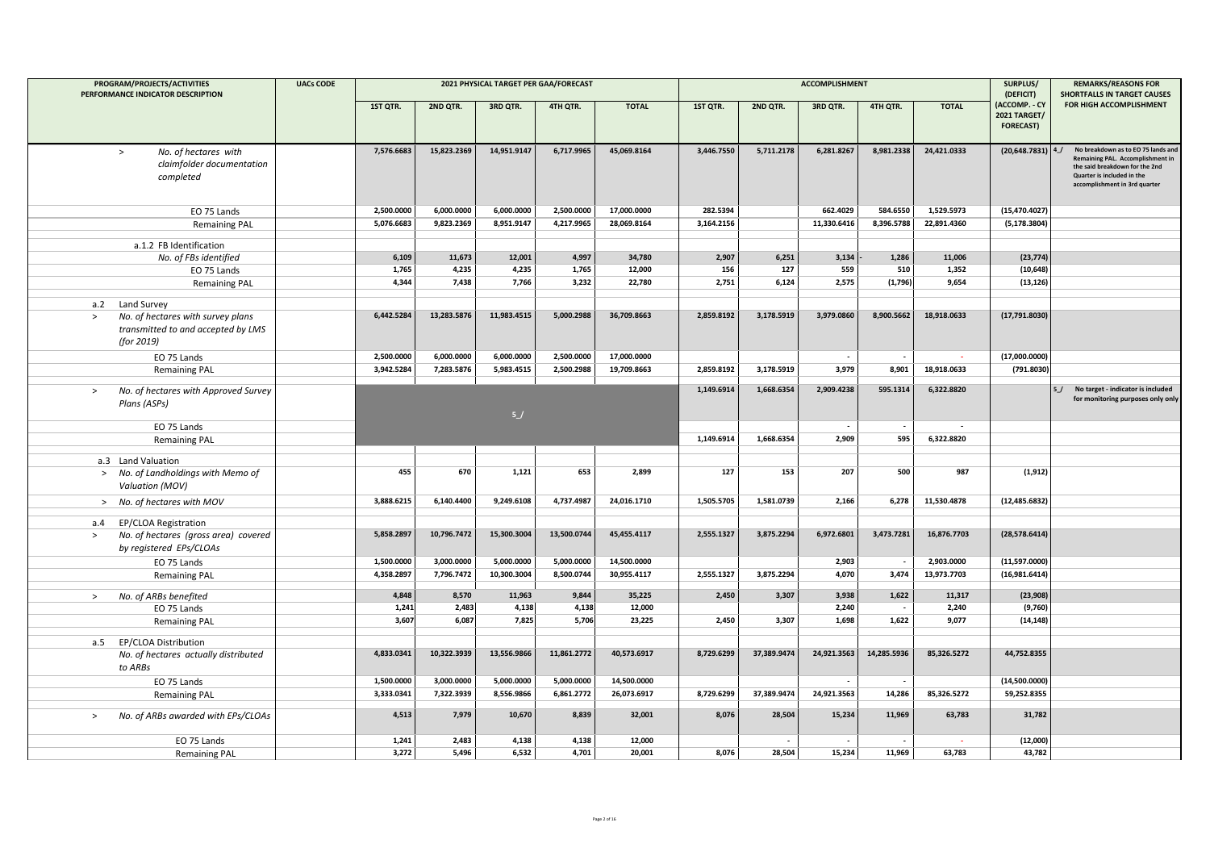| PROGRAM/PROJECTS/ACTIVITIES                                                                                        | <b>UACs CODE</b> |            |             | 2021 PHYSICAL TARGET PER GAA/FORECAST |             |              |            |                          | <b>ACCOMPLISHMENT</b>    |             |                          | SURPLUS/                                                              | <b>REMARKS/REASONS FOR</b>                                                                                                                                              |
|--------------------------------------------------------------------------------------------------------------------|------------------|------------|-------------|---------------------------------------|-------------|--------------|------------|--------------------------|--------------------------|-------------|--------------------------|-----------------------------------------------------------------------|-------------------------------------------------------------------------------------------------------------------------------------------------------------------------|
| PERFORMANCE INDICATOR DESCRIPTION                                                                                  |                  | 1ST QTR.   | 2ND QTR.    | 3RD QTR.                              | 4TH QTR.    | <b>TOTAL</b> | 1ST QTR.   | 2ND QTR.                 | 3RD QTR.                 | 4TH QTR.    | <b>TOTAL</b>             | (DEFICIT)<br>(ACCOMP. - CY<br><b>2021 TARGET/</b><br><b>FORECAST)</b> | <b>SHORTFALLS IN TARGET CAUSES</b><br>FOR HIGH ACCOMPLISHMENT                                                                                                           |
| No. of hectares with<br>$\,>$<br>claimfolder documentation<br>completed                                            |                  | 7,576.6683 | 15,823.2369 | 14,951.9147                           | 6,717.9965  | 45,069.8164  | 3,446.7550 | 5,711.2178               | 6,281.8267               | 8,981.2338  | 24,421.0333              | $(20, 648.7831)$ 4                                                    | No breakdown as to EO 75 lands and<br>Remaining PAL. Accomplishment in<br>the said breakdown for the 2nd<br>Quarter is included in the<br>accomplishment in 3rd quarter |
| EO 75 Lands                                                                                                        |                  | 2,500.0000 | 6.000.0000  | 6,000.0000                            | 2.500.0000  | 17,000.0000  | 282.5394   |                          | 662.4029                 | 584.6550    | 1,529.5973               | (15, 470.4027)                                                        |                                                                                                                                                                         |
| <b>Remaining PAL</b>                                                                                               |                  | 5,076.6683 | 9,823.2369  | 8,951.9147                            | 4,217.9965  | 28,069.8164  | 3,164.2156 |                          | 11,330.6416              | 8,396.5788  | 22,891.4360              | (5, 178.3804)                                                         |                                                                                                                                                                         |
| a.1.2 FB Identification                                                                                            |                  |            |             |                                       |             |              |            |                          |                          |             |                          |                                                                       |                                                                                                                                                                         |
| No. of FBs identified                                                                                              |                  | 6,109      | 11,673      | 12,001                                | 4,997       | 34,780       | 2,907      | 6,251                    | 3,134                    | 1,286       | 11,006                   | (23, 774)                                                             |                                                                                                                                                                         |
| EO 75 Lands                                                                                                        |                  | 1,765      | 4,235       | 4,235                                 | 1,765       | 12,000       | 156        | 127                      | 559                      | 510         | 1,352                    | (10, 648)                                                             |                                                                                                                                                                         |
| <b>Remaining PAL</b>                                                                                               |                  | 4,344      | 7,438       | 7,766                                 | 3,232       | 22,780       | 2,751      | 6,124                    | 2,575                    | (1,796)     | 9,654                    | (13, 126)                                                             |                                                                                                                                                                         |
|                                                                                                                    |                  |            |             |                                       |             |              |            |                          |                          |             |                          |                                                                       |                                                                                                                                                                         |
| a.2 Land Survey<br>No. of hectares with survey plans<br>$\geq$<br>transmitted to and accepted by LMS<br>(for 2019) |                  | 6,442.5284 | 13,283.5876 | 11,983.4515                           | 5,000.2988  | 36,709.8663  | 2,859.8192 | 3,178.5919               | 3,979.0860               | 8,900.5662  | 18,918.0633              | (17,791.8030)                                                         |                                                                                                                                                                         |
| EO 75 Lands                                                                                                        |                  | 2,500.0000 | 6,000.0000  | 6,000.0000                            | 2,500.0000  | 17,000.0000  |            |                          | $\overline{\phantom{a}}$ |             | $\sim$                   | (17,000.0000)                                                         |                                                                                                                                                                         |
| <b>Remaining PAL</b>                                                                                               |                  | 3,942.5284 | 7,283.5876  | 5,983.4515                            | 2,500.2988  | 19,709.8663  | 2,859.8192 | 3,178.5919               | 3,979                    | 8,901       | 18,918.0633              | (791.8030)                                                            |                                                                                                                                                                         |
| No. of hectares with Approved Survey<br>$\geq$<br>Plans (ASPs)                                                     |                  |            |             | 5/                                    |             |              | 1,149.6914 | 1,668.6354               | 2,909.4238               | 595.1314    | 6,322.8820               |                                                                       | No target - indicator is included<br>5/<br>for monitoring purposes only only                                                                                            |
| EO 75 Lands                                                                                                        |                  |            |             |                                       |             |              |            |                          | $\overline{\phantom{a}}$ |             | $\overline{\phantom{a}}$ |                                                                       |                                                                                                                                                                         |
| <b>Remaining PAL</b>                                                                                               |                  |            |             |                                       |             |              | 1,149.6914 | 1,668.6354               | 2,909                    | 595         | 6,322.8820               |                                                                       |                                                                                                                                                                         |
| a.3 Land Valuation                                                                                                 |                  |            |             |                                       |             |              |            |                          |                          |             |                          |                                                                       |                                                                                                                                                                         |
| > No. of Landholdings with Memo of<br>Valuation (MOV)                                                              |                  | 455        | 670         | 1,121                                 | 653         | 2,899        | 127        | 153                      | 207                      | 500         | 987                      | (1, 912)                                                              |                                                                                                                                                                         |
| > No. of hectares with MOV                                                                                         |                  | 3,888.6215 | 6,140.4400  | 9,249.6108                            | 4,737.4987  | 24,016.1710  | 1,505.5705 | 1,581.0739               | 2,166                    | 6,278       | 11,530.4878              | (12, 485.6832)                                                        |                                                                                                                                                                         |
| a.4 EP/CLOA Registration                                                                                           |                  |            |             |                                       |             |              |            |                          |                          |             |                          |                                                                       |                                                                                                                                                                         |
| No. of hectares (gross area) covered<br>$\, >$<br>by registered EPs/CLOAs                                          |                  | 5,858.2897 | 10,796.7472 | 15,300.3004                           | 13,500.0744 | 45,455.4117  | 2,555.1327 | 3,875.2294               | 6,972.6801               | 3,473.7281  | 16,876.7703              | (28,578.6414)                                                         |                                                                                                                                                                         |
| EO 75 Lands                                                                                                        |                  | 1,500.0000 | 3,000.0000  | 5,000.0000                            | 5,000.0000  | 14,500.0000  |            |                          | 2,903                    |             | 2,903.0000               | (11,597.0000)                                                         |                                                                                                                                                                         |
| <b>Remaining PAL</b>                                                                                               |                  | 4,358.2897 | 7,796.7472  | 10,300.3004                           | 8,500.0744  | 30,955.4117  | 2,555.1327 | 3,875.2294               | 4,070                    | 3,474       | 13,973.7703              | (16,981.6414)                                                         |                                                                                                                                                                         |
| No. of ARBs benefited<br>$\geq$                                                                                    |                  | 4,848      | 8,570       | 11,963                                | 9,844       | 35,225       | 2,450      | 3,307                    | 3,938                    | 1,622       | 11,317                   | (23,908)                                                              |                                                                                                                                                                         |
| EO 75 Lands                                                                                                        |                  | 1,241      | 2,483       | 4,138                                 | 4,138       | 12,000       |            |                          | 2,240                    |             | 2,240                    | (9,760)                                                               |                                                                                                                                                                         |
| <b>Remaining PAL</b>                                                                                               |                  | 3,607      | 6,087       | 7,825                                 | 5,706       | 23,225       | 2,450      | 3,307                    | 1,698                    | 1,622       | 9,077                    | (14, 148)                                                             |                                                                                                                                                                         |
|                                                                                                                    |                  |            |             |                                       |             |              |            |                          |                          |             |                          |                                                                       |                                                                                                                                                                         |
| a.5 EP/CLOA Distribution<br>No. of hectares actually distributed<br>to ARBs                                        |                  | 4,833.0341 | 10,322.3939 | 13,556.9866                           | 11,861.2772 | 40,573.6917  | 8,729.6299 | 37,389.9474              | 24,921.3563              | 14,285.5936 | 85,326.5272              | 44,752.8355                                                           |                                                                                                                                                                         |
| EO 75 Lands                                                                                                        |                  | 1,500.0000 | 3,000.0000  | 5,000.0000                            | 5,000.0000  | 14,500.0000  |            |                          | $\overline{\phantom{a}}$ |             |                          | (14,500.0000)                                                         |                                                                                                                                                                         |
| <b>Remaining PAL</b>                                                                                               |                  | 3,333.0341 | 7,322.3939  | 8,556.9866                            | 6,861.2772  | 26,073.6917  | 8,729.6299 | 37,389.9474              | 24,921.3563              | 14,286      | 85,326.5272              | 59,252.8355                                                           |                                                                                                                                                                         |
| No. of ARBs awarded with EPs/CLOAs<br>$\, >$                                                                       |                  | 4,513      | 7,979       | 10,670                                | 8,839       | 32,001       | 8,076      | 28,504                   | 15,234                   | 11,969      | 63,783                   | 31,782                                                                |                                                                                                                                                                         |
| EO 75 Lands                                                                                                        |                  | 1,241      | 2,483       | 4,138                                 | 4,138       | 12,000       |            | $\overline{\phantom{a}}$ | $\overline{\phantom{a}}$ |             | $\sim$                   | (12,000)                                                              |                                                                                                                                                                         |
| <b>Remaining PAL</b>                                                                                               |                  | 3,272      | 5,496       | 6,532                                 | 4,701       | 20,001       | 8,076      | 28,504                   | 15,234                   | 11,969      | 63,783                   | 43,782                                                                |                                                                                                                                                                         |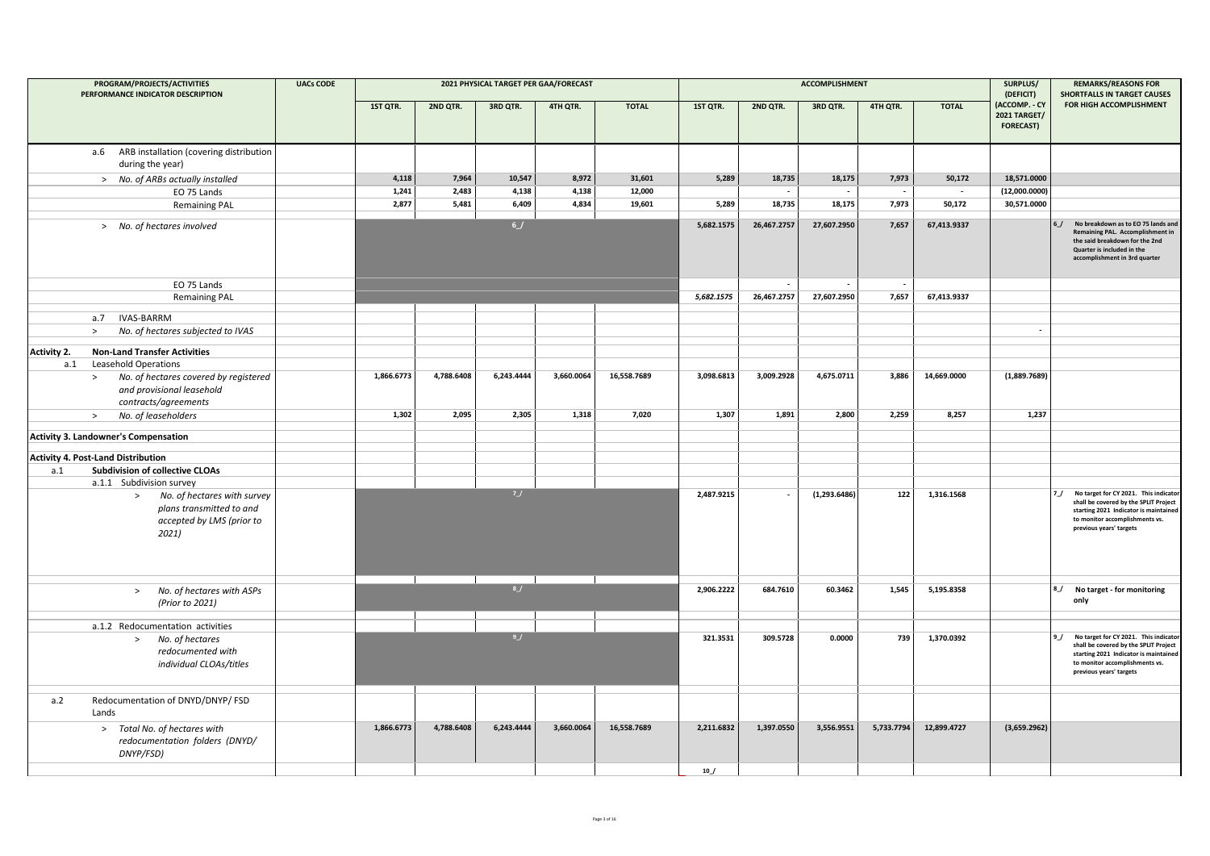|                    | PROGRAM/PROJECTS/ACTIVITIES<br>PERFORMANCE INDICATOR DESCRIPTION                                                                    | <b>UACs CODE</b> |            |            |            | 2021 PHYSICAL TARGET PER GAA/FORECAST |              |            |                          | <b>ACCOMPLISHMENT</b>    |            |                          | SURPLUS/<br>(DEFICIT)                                    | <b>REMARKS/REASONS FOR</b><br><b>SHORTFALLS IN TARGET CAUSES</b>                                                                                                                           |
|--------------------|-------------------------------------------------------------------------------------------------------------------------------------|------------------|------------|------------|------------|---------------------------------------|--------------|------------|--------------------------|--------------------------|------------|--------------------------|----------------------------------------------------------|--------------------------------------------------------------------------------------------------------------------------------------------------------------------------------------------|
|                    |                                                                                                                                     |                  | 1ST QTR.   | 2ND QTR.   | 3RD QTR.   | 4TH QTR.                              | <b>TOTAL</b> | 1ST QTR.   | 2ND QTR.                 | 3RD QTR.                 | 4TH QTR.   | <b>TOTAL</b>             | (ACCOMP. - CY<br><b>2021 TARGET/</b><br><b>FORECAST)</b> | FOR HIGH ACCOMPLISHMENT                                                                                                                                                                    |
|                    | a.6 ARB installation (covering distribution<br>during the year)                                                                     |                  |            |            |            |                                       |              |            |                          |                          |            |                          |                                                          |                                                                                                                                                                                            |
|                    | > No. of ARBs actually installed                                                                                                    |                  | 4,118      | 7,964      | 10,547     | 8,972                                 | 31,601       | 5,289      | 18,735                   | 18,175                   | 7,973      | 50,172                   | 18,571.0000                                              |                                                                                                                                                                                            |
|                    | EO 75 Lands                                                                                                                         |                  | 1,241      | 2,483      | 4,138      | 4,138                                 | 12,000       |            | $\overline{\phantom{a}}$ | $\overline{\phantom{a}}$ | $\sim$     | $\overline{\phantom{a}}$ | (12,000.0000)                                            |                                                                                                                                                                                            |
|                    | <b>Remaining PAL</b>                                                                                                                |                  | 2,877      | 5,481      | 6,409      | 4,834                                 | 19,601       | 5,289      | 18,735                   | 18,175                   | 7,973      | 50,172                   | 30,571.0000                                              |                                                                                                                                                                                            |
|                    | > No. of hectares involved                                                                                                          |                  |            |            | 6J         |                                       |              | 5,682.1575 | 26,467.2757              | 27,607.2950              | 7,657      | 67,413.9337              |                                                          | No breakdown as to EO 75 lands and<br>Remaining PAL. Accomplishment in<br>the said breakdown for the 2nd<br>Quarter is included in the<br>accomplishment in 3rd quarter                    |
|                    | EO 75 Lands                                                                                                                         |                  |            |            |            |                                       |              |            |                          |                          |            |                          |                                                          |                                                                                                                                                                                            |
|                    | <b>Remaining PAL</b>                                                                                                                |                  |            |            |            |                                       |              | 5.682.1575 | 26,467.2757              | 27,607.2950              | 7,657      | 67,413.9337              |                                                          |                                                                                                                                                                                            |
|                    | a.7 IVAS-BARRM                                                                                                                      |                  |            |            |            |                                       |              |            |                          |                          |            |                          |                                                          |                                                                                                                                                                                            |
|                    | No. of hectares subjected to IVAS<br>$\,>\,$                                                                                        |                  |            |            |            |                                       |              |            |                          |                          |            |                          | $\overline{\phantom{a}}$                                 |                                                                                                                                                                                            |
|                    |                                                                                                                                     |                  |            |            |            |                                       |              |            |                          |                          |            |                          |                                                          |                                                                                                                                                                                            |
| <b>Activity 2.</b> | <b>Non-Land Transfer Activities</b>                                                                                                 |                  |            |            |            |                                       |              |            |                          |                          |            |                          |                                                          |                                                                                                                                                                                            |
| a.1                | Leasehold Operations<br>No. of hectares covered by registered<br>$\geq$<br>and provisional leasehold<br>contracts/agreements        |                  | 1,866.6773 | 4,788.6408 | 6,243.4444 | 3,660.0064                            | 16,558.7689  | 3,098.6813 | 3,009.2928               | 4,675.0711               | 3,886      | 14,669.0000              | (1,889.7689)                                             |                                                                                                                                                                                            |
|                    | No. of leaseholders<br>>                                                                                                            |                  | 1,302      | 2,095      | 2,305      | 1,318                                 | 7,020        | 1,307      | 1,891                    | 2,800                    | 2,259      | 8,257                    | 1,237                                                    |                                                                                                                                                                                            |
|                    | <b>Activity 3. Landowner's Compensation</b>                                                                                         |                  |            |            |            |                                       |              |            |                          |                          |            |                          |                                                          |                                                                                                                                                                                            |
|                    |                                                                                                                                     |                  |            |            |            |                                       |              |            |                          |                          |            |                          |                                                          |                                                                                                                                                                                            |
|                    | <b>Activity 4. Post-Land Distribution</b>                                                                                           |                  |            |            |            |                                       |              |            |                          |                          |            |                          |                                                          |                                                                                                                                                                                            |
| a.1                | <b>Subdivision of collective CLOAs</b>                                                                                              |                  |            |            |            |                                       |              |            |                          |                          |            |                          |                                                          |                                                                                                                                                                                            |
|                    | a.1.1 Subdivision survey<br>No. of hectares with survey<br>$\geq$<br>plans transmitted to and<br>accepted by LMS (prior to<br>2021) |                  |            |            | 7J         |                                       |              | 2,487.9215 |                          | (1,293.6486)             | 122        | 1,316.1568               |                                                          | No target for CY 2021. This indicator<br>7/<br>shall be covered by the SPLIT Project<br>starting 2021 Indicator is maintained<br>to monitor accomplishments vs.<br>previous years' targets |
|                    | No. of hectares with ASPs<br>$\geq$<br>(Prior to 2021)                                                                              |                  |            |            | 8          |                                       |              | 2,906.2222 | 684.7610                 | 60.3462                  | 1,545      | 5,195.8358               |                                                          | No target - for monitoring<br>8_/<br>only                                                                                                                                                  |
|                    | a.1.2 Redocumentation activities                                                                                                    |                  |            |            |            |                                       |              |            |                          |                          |            |                          |                                                          |                                                                                                                                                                                            |
|                    | No. of hectares<br>$\geq$<br>redocumented with<br>individual CLOAs/titles                                                           |                  |            |            | 9/         |                                       |              | 321.3531   | 309.5728                 | 0.0000                   | 739        | 1,370.0392               |                                                          | No target for CY 2021. This indicato<br>shall be covered by the SPLIT Project<br>starting 2021 Indicator is maintained<br>to monitor accomplishments vs.<br>previous years' targets        |
| a.2                | Redocumentation of DNYD/DNYP/ FSD<br>Lands                                                                                          |                  |            |            |            |                                       |              |            |                          |                          |            |                          |                                                          |                                                                                                                                                                                            |
|                    | > Total No. of hectares with<br>redocumentation folders (DNYD/<br>DNYP/FSD)                                                         |                  | 1,866.6773 | 4,788.6408 | 6,243.4444 | 3,660.0064                            | 16,558.7689  | 2,211.6832 | 1,397.0550               | 3,556.9551               | 5,733.7794 | 12,899.4727              | (3,659.2962)                                             |                                                                                                                                                                                            |
|                    |                                                                                                                                     |                  |            |            |            |                                       |              | 10/        |                          |                          |            |                          |                                                          |                                                                                                                                                                                            |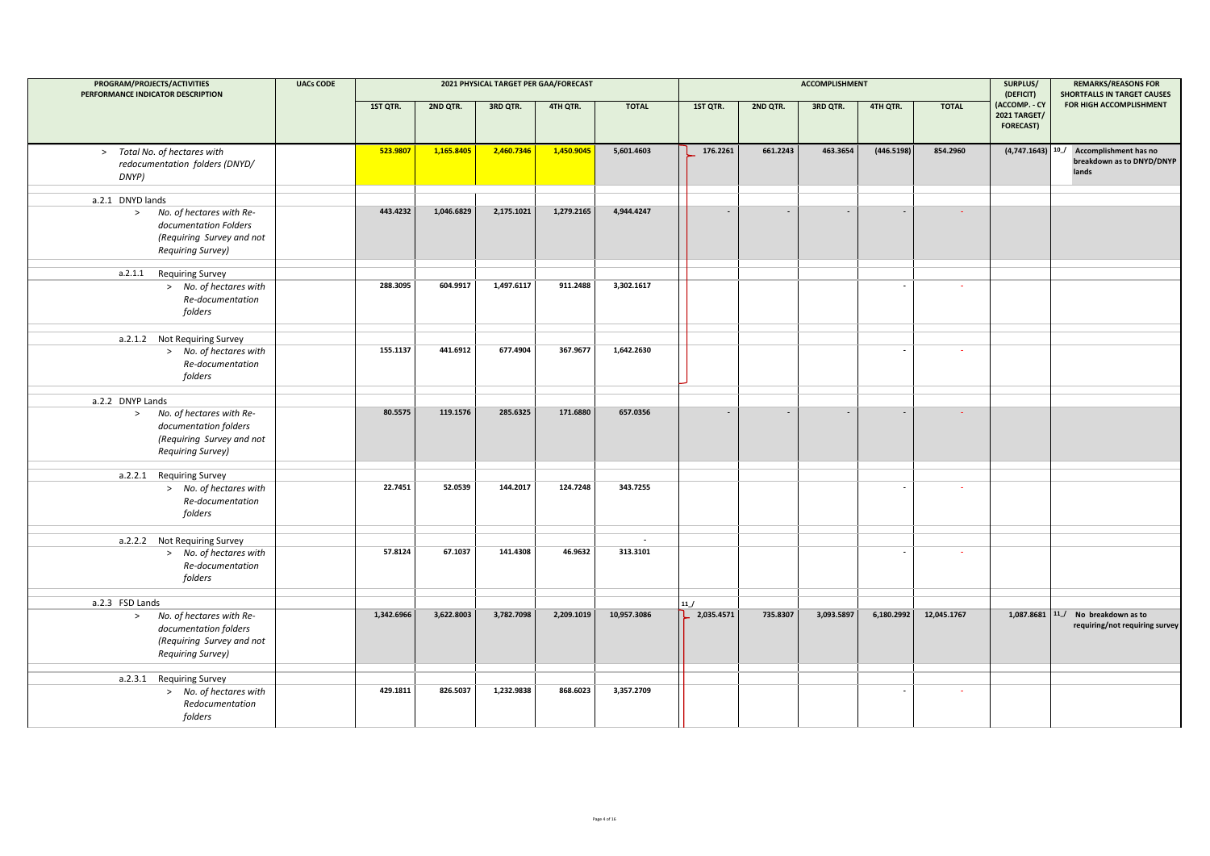| PROGRAM/PROJECTS/ACTIVITIES<br>PERFORMANCE INDICATOR DESCRIPTION                                                                         | <b>UACs CODE</b> |            |            |            | 2021 PHYSICAL TARGET PER GAA/FORECAST |                                      |                          |                | ACCOMPLISHMENT           |                |              | SURPLUS/<br>(DEFICIT)                                    | <b>REMARKS/REASONS FOR</b><br><b>SHORTFALLS IN TARGET CAUSES</b> |
|------------------------------------------------------------------------------------------------------------------------------------------|------------------|------------|------------|------------|---------------------------------------|--------------------------------------|--------------------------|----------------|--------------------------|----------------|--------------|----------------------------------------------------------|------------------------------------------------------------------|
|                                                                                                                                          |                  | 1ST QTR.   | 2ND QTR.   | 3RD QTR.   | 4TH QTR.                              | <b>TOTAL</b>                         | 1ST QTR.                 | 2ND QTR.       | 3RD QTR.                 | 4TH QTR.       | <b>TOTAL</b> | (ACCOMP. - CY<br><b>2021 TARGET/</b><br><b>FORECAST)</b> | FOR HIGH ACCOMPLISHMENT                                          |
| > Total No. of hectares with<br>redocumentation folders (DNYD/<br>DNYP)                                                                  |                  | 523.9807   | 1,165.8405 | 2,460.7346 | 1,450.9045                            | 5,601.4603                           | 176.2261                 | 661.2243       | 463.3654                 | (446.5198)     | 854.2960     | (4,747.1643)                                             | 10_/ Accomplishment has no<br>breakdown as to DNYD/DNYP<br>lands |
| a.2.1 DNYD lands<br>No. of hectares with Re-<br>$\geq$<br>documentation Folders<br>(Requiring Survey and not<br><b>Requiring Survey)</b> |                  | 443.4232   | 1,046.6829 | 2,175.1021 | 1,279.2165                            | 4,944.4247                           | $\blacksquare$           | $\blacksquare$ | $\overline{\phantom{a}}$ | $\sim$         | $\sim$       |                                                          |                                                                  |
| a.2.1.1 Requiring Survey<br>> No. of hectares with<br>Re-documentation<br>folders                                                        |                  | 288.3095   | 604.9917   | 1,497.6117 | 911.2488                              | 3,302.1617                           |                          |                |                          |                | $\sim$       |                                                          |                                                                  |
| a.2.1.2 Not Requiring Survey<br>> No. of hectares with<br>Re-documentation<br>folders                                                    |                  | 155.1137   | 441.6912   | 677.4904   | 367.9677                              | 1,642.2630                           |                          |                |                          |                | $\sim$       |                                                          |                                                                  |
| a.2.2 DNYP Lands<br>No. of hectares with Re-<br>$\geq$<br>documentation folders<br>(Requiring Survey and not<br><b>Requiring Survey)</b> |                  | 80.5575    | 119.1576   | 285.6325   | 171.6880                              | 657.0356                             | $\overline{\phantom{a}}$ |                |                          |                | $\sim$       |                                                          |                                                                  |
| a.2.2.1 Requiring Survey<br>> No. of hectares with<br>Re-documentation<br>folders                                                        |                  | 22.7451    | 52.0539    | 144.2017   | 124.7248                              | 343.7255                             |                          |                |                          | $\sim$         | $\sim$       |                                                          |                                                                  |
| a.2.2.2 Not Requiring Survey<br>> No. of hectares with<br>Re-documentation<br>folders                                                    |                  | 57.8124    | 67.1037    | 141.4308   | 46.9632                               | $\overline{\phantom{a}}$<br>313.3101 |                          |                |                          | $\blacksquare$ | $\sim$       |                                                          |                                                                  |
| a.2.3 FSD Lands<br>No. of hectares with Re-<br>$\geq$<br>documentation folders<br>(Requiring Survey and not<br><b>Requiring Survey)</b>  |                  | 1,342.6966 | 3,622.8003 | 3,782.7098 | 2,209.1019                            | 10,957.3086                          | 11/<br>2,035.4571        | 735.8307       | 3,093.5897               | 6,180.2992     | 12,045.1767  | 1,087.8681                                               | 11_/ No breakdown as to<br>requiring/not requiring survey        |
| a.2.3.1 Requiring Survey<br>> No. of hectares with<br>Redocumentation<br>folders                                                         |                  | 429.1811   | 826.5037   | 1,232.9838 | 868.6023                              | 3,357.2709                           |                          |                |                          |                | $\sim$       |                                                          |                                                                  |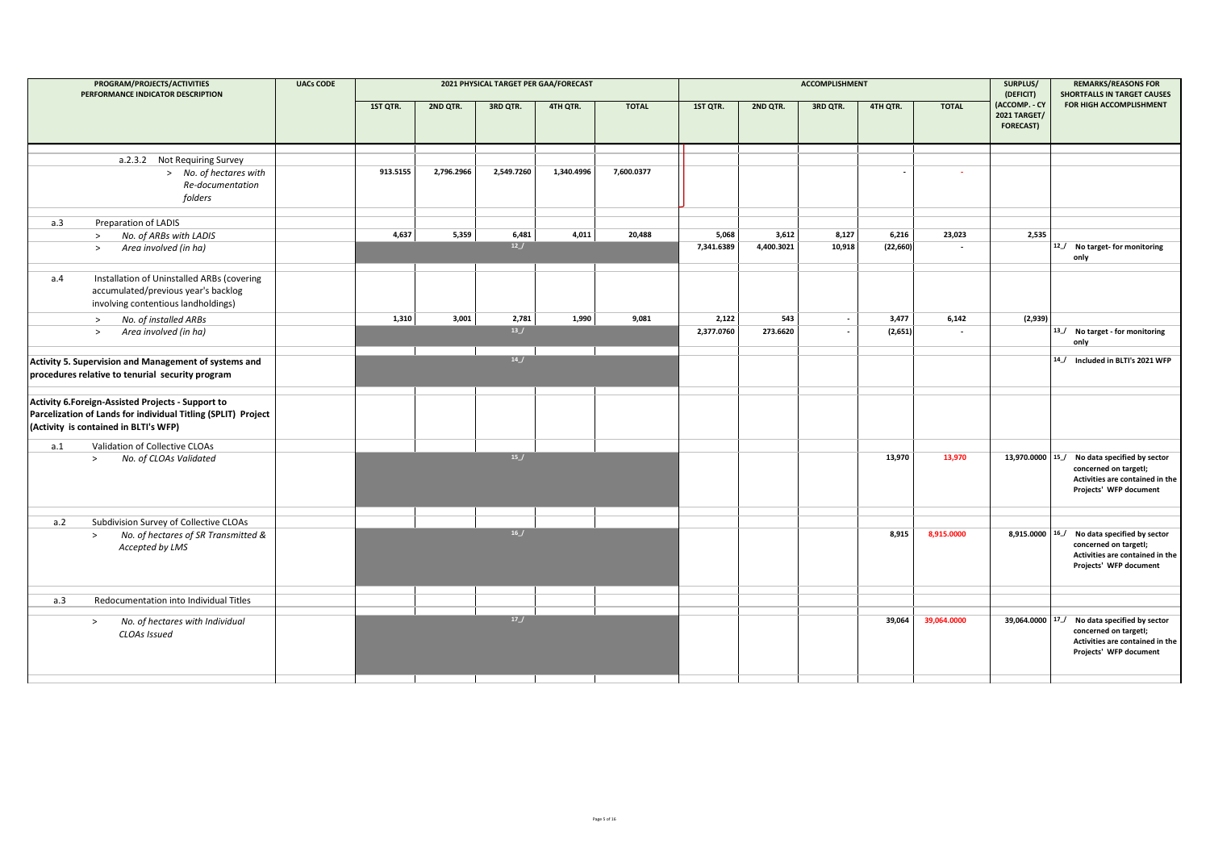|     | PROGRAM/PROJECTS/ACTIVITIES<br>PERFORMANCE INDICATOR DESCRIPTION                                                                                            | <b>UACs CODE</b> |          |            | 2021 PHYSICAL TARGET PER GAA/FORECAST |            |              |            |            | <b>ACCOMPLISHMENT</b>    |           |                          | SURPLUS/<br>(DEFICIT)                                    | <b>REMARKS/REASONS FOR</b><br><b>SHORTFALLS IN TARGET CAUSES</b>                                                                   |
|-----|-------------------------------------------------------------------------------------------------------------------------------------------------------------|------------------|----------|------------|---------------------------------------|------------|--------------|------------|------------|--------------------------|-----------|--------------------------|----------------------------------------------------------|------------------------------------------------------------------------------------------------------------------------------------|
|     |                                                                                                                                                             |                  | 1ST QTR. | 2ND QTR.   | 3RD QTR.                              | 4TH QTR.   | <b>TOTAL</b> | 1ST QTR.   | 2ND QTR.   | 3RD QTR.                 | 4TH QTR.  | <b>TOTAL</b>             | (ACCOMP. - CY<br><b>2021 TARGET/</b><br><b>FORECAST)</b> | FOR HIGH ACCOMPLISHMENT                                                                                                            |
|     | a.2.3.2 Not Requiring Survey                                                                                                                                |                  |          |            |                                       |            |              |            |            |                          |           |                          |                                                          |                                                                                                                                    |
|     | > No. of hectares with<br>Re-documentation<br>folders                                                                                                       |                  | 913.5155 | 2,796.2966 | 2,549.7260                            | 1,340.4996 | 7,600.0377   |            |            |                          |           | $\sim$                   |                                                          |                                                                                                                                    |
| a.3 | Preparation of LADIS                                                                                                                                        |                  |          |            |                                       |            |              |            |            |                          |           |                          |                                                          |                                                                                                                                    |
|     | No. of ARBs with LADIS<br>$\geq$                                                                                                                            |                  | 4,637    | 5,359      | 6,481                                 | 4,011      | 20.488       | 5,068      | 3,612      | 8,127                    | 6,216     | 23,023                   | 2,535                                                    |                                                                                                                                    |
|     | Area involved (in ha)<br>$\geq$                                                                                                                             |                  |          |            | 12 J                                  |            |              | 7,341.6389 | 4,400.3021 | 10,918                   | (22, 660) |                          |                                                          | 12_/ No target- for monitoring<br>only                                                                                             |
| a.4 | Installation of Uninstalled ARBs (covering<br>accumulated/previous year's backlog<br>involving contentious landholdings)                                    |                  |          |            |                                       |            |              |            |            |                          |           |                          |                                                          |                                                                                                                                    |
|     | No. of installed ARBs<br>$\geq$                                                                                                                             |                  | 1,310    | 3,001      | 2,781                                 | 1,990      | 9,081        | 2,122      | 543        | $\overline{\phantom{a}}$ | 3,477     | 6,142                    | (2,939)                                                  |                                                                                                                                    |
|     | Area involved (in ha)<br>$\geq$                                                                                                                             |                  |          |            | 13 J                                  |            |              | 2,377.0760 | 273.6620   |                          | (2,651)   | $\overline{\phantom{a}}$ |                                                          | 13_/ No target - for monitoring<br>only                                                                                            |
|     | Activity 5. Supervision and Management of systems and<br>procedures relative to tenurial security program                                                   |                  |          |            | 14                                    |            |              |            |            |                          |           |                          |                                                          | 14_/ Included in BLTI's 2021 WFP                                                                                                   |
|     | Activity 6.Foreign-Assisted Projects - Support to<br>Parcelization of Lands for individual Titling (SPLIT) Project<br>(Activity is contained in BLTI's WFP) |                  |          |            |                                       |            |              |            |            |                          |           |                          |                                                          |                                                                                                                                    |
| a.1 | Validation of Collective CLOAs                                                                                                                              |                  |          |            |                                       |            |              |            |            |                          |           |                          |                                                          |                                                                                                                                    |
|     | No. of CLOAs Validated<br>$\geq$                                                                                                                            |                  |          |            | 15/                                   |            |              |            |            |                          | 13,970    | 13,970                   | 13,970.0000 15                                           | No data specified by sector<br>concerned on targetl;<br>Activities are contained in the<br>Projects' WFP document                  |
| a.2 | Subdivision Survey of Collective CLOAs                                                                                                                      |                  |          |            |                                       |            |              |            |            |                          |           |                          |                                                          |                                                                                                                                    |
|     | No. of hectares of SR Transmitted &<br>$\geq$<br>Accepted by LMS                                                                                            |                  |          |            | 16/                                   |            |              |            |            |                          | 8,915     | 8.915.0000               | 8,915.0000 16                                            | No data specified by sector<br>concerned on targetl;<br>Activities are contained in the<br>Projects' WFP document                  |
| a.3 | Redocumentation into Individual Titles                                                                                                                      |                  |          |            |                                       |            |              |            |            |                          |           |                          |                                                          |                                                                                                                                    |
|     | No. of hectares with Individual<br>$\geq$<br>CLOAs Issued                                                                                                   |                  |          |            | 17                                    |            |              |            |            |                          | 39,064    | 39,064.0000              |                                                          | 39,064.0000 17_/ No data specified by sector<br>concerned on targetl;<br>Activities are contained in the<br>Projects' WFP document |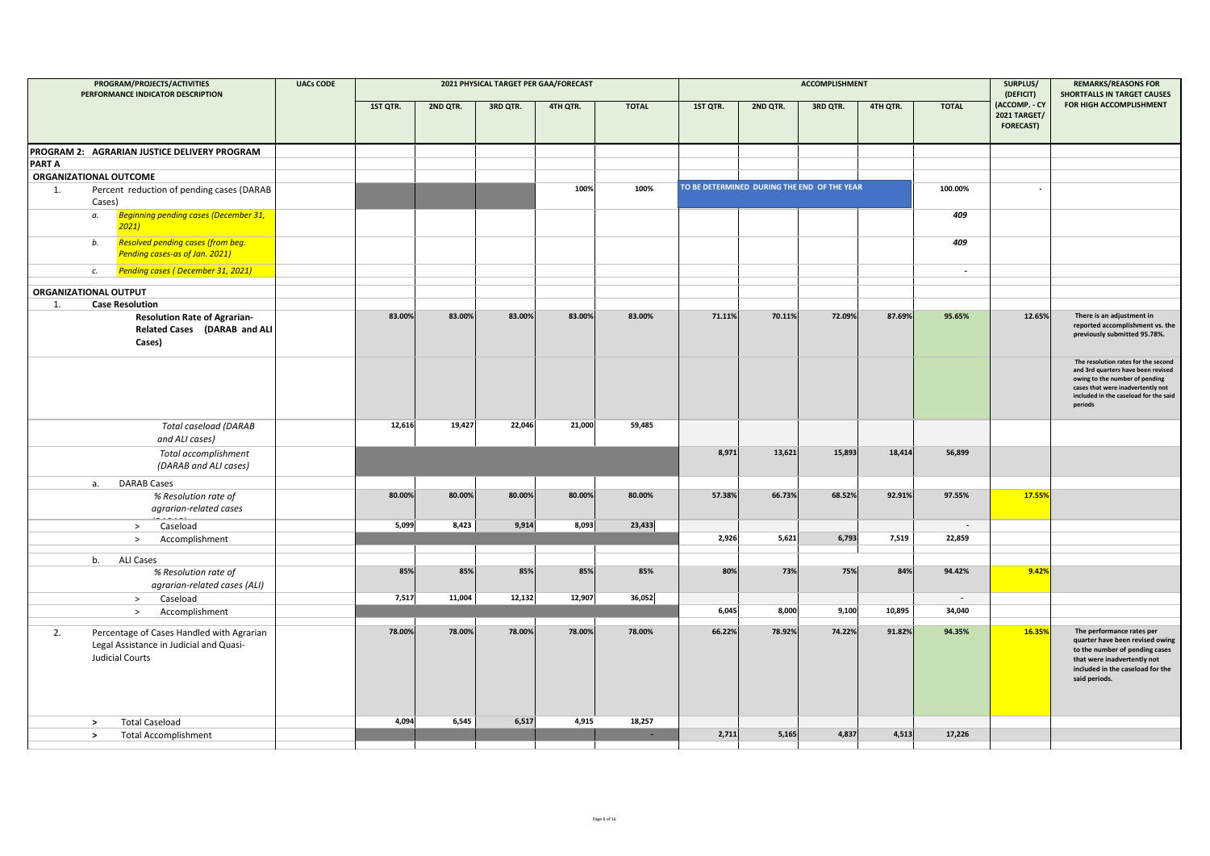| PROGRAM/PROJECTS/ACTIVITIES<br>PERFORMANCE INDICATOR DESCRIPTION                                                     | <b>UACs CODE</b> |          |          |          | 2021 PHYSICAL TARGET PER GAA/FORECAST |              |          |                                             | <b>ACCOMPLISHMENT</b> |          |              | SURPLUS/<br>(DEFICIT)                                    | <b>REMARKS/REASONS FOR</b><br><b>SHORTFALLS IN TARGET CAUSES</b>                                                                                                                                     |
|----------------------------------------------------------------------------------------------------------------------|------------------|----------|----------|----------|---------------------------------------|--------------|----------|---------------------------------------------|-----------------------|----------|--------------|----------------------------------------------------------|------------------------------------------------------------------------------------------------------------------------------------------------------------------------------------------------------|
|                                                                                                                      |                  | 1ST QTR. | 2ND QTR. | 3RD QTR. | 4TH QTR.                              | <b>TOTAL</b> | 1ST QTR. | 2ND QTR.                                    | 3RD QTR.              | 4TH QTR. | <b>TOTAL</b> | (ACCOMP. - CY<br><b>2021 TARGET/</b><br><b>FORECAST)</b> | FOR HIGH ACCOMPLISHMENT                                                                                                                                                                              |
| PROGRAM 2: AGRARIAN JUSTICE DELIVERY PROGRAM                                                                         |                  |          |          |          |                                       |              |          |                                             |                       |          |              |                                                          |                                                                                                                                                                                                      |
| <b>PART A</b>                                                                                                        |                  |          |          |          |                                       |              |          |                                             |                       |          |              |                                                          |                                                                                                                                                                                                      |
| ORGANIZATIONAL OUTCOME                                                                                               |                  |          |          |          |                                       |              |          |                                             |                       |          |              |                                                          |                                                                                                                                                                                                      |
| Percent reduction of pending cases (DARAB<br>1.<br>Cases)                                                            |                  |          |          |          | 100%                                  | 100%         |          | TO BE DETERMINED DURING THE END OF THE YEAR |                       |          | 100.00%      | $\overline{\phantom{a}}$                                 |                                                                                                                                                                                                      |
| <b>Beginning pending cases (December 31,</b><br>а.<br>2021                                                           |                  |          |          |          |                                       |              |          |                                             |                       |          | 409          |                                                          |                                                                                                                                                                                                      |
| <b>Resolved pending cases (from beg.</b><br>b.<br>Pending cases-as of Jan. 2021)                                     |                  |          |          |          |                                       |              |          |                                             |                       |          | 409          |                                                          |                                                                                                                                                                                                      |
| <b>Pending cases (December 31, 2021)</b><br>c.                                                                       |                  |          |          |          |                                       |              |          |                                             |                       |          | $\sim$       |                                                          |                                                                                                                                                                                                      |
| ORGANIZATIONAL OUTPUT                                                                                                |                  |          |          |          |                                       |              |          |                                             |                       |          |              |                                                          |                                                                                                                                                                                                      |
| <b>Case Resolution</b><br>1.                                                                                         |                  |          |          |          |                                       |              |          |                                             |                       |          |              |                                                          |                                                                                                                                                                                                      |
| <b>Resolution Rate of Agrarian-</b><br>Related Cases (DARAB and ALI<br>Cases)                                        |                  | 83.00%   | 83.00%   | 83.00%   | 83.00%                                | 83.00%       | 71.11%   | 70.11%                                      | 72.09%                | 87.69%   | 95.65%       | 12.65%                                                   | There is an adjustment in<br>reported accomplishment vs. the<br>previously submitted 95.78%.                                                                                                         |
|                                                                                                                      |                  |          |          |          |                                       |              |          |                                             |                       |          |              |                                                          | The resolution rates for the second<br>and 3rd quarters have been revised<br>owing to the number of pending<br>cases that were inadvertently not<br>included in the caseload for the said<br>periods |
| <b>Total caseload (DARAB</b><br>and ALI cases)                                                                       |                  | 12,616   | 19,427   | 22,046   | 21,000                                | 59,485       |          |                                             |                       |          |              |                                                          |                                                                                                                                                                                                      |
| Total accomplishment<br>(DARAB and ALI cases)                                                                        |                  |          |          |          |                                       |              | 8,971    | 13,621                                      | 15,893                | 18,414   | 56,899       |                                                          |                                                                                                                                                                                                      |
| <b>DARAB Cases</b><br>а.                                                                                             |                  |          |          |          |                                       |              |          |                                             |                       |          |              |                                                          |                                                                                                                                                                                                      |
| % Resolution rate of<br>agrarian-related cases                                                                       |                  | 80.00%   | 80.00%   | 80.00%   | 80.00%                                | 80.00%       | 57.38%   | 66.73%                                      | 68.52%                | 92.91%   | 97.55%       | 17.55%                                                   |                                                                                                                                                                                                      |
| Caseload<br>$\rightarrow$                                                                                            |                  | 5,099    | 8,423    | 9,914    | 8,093                                 | 23,433       |          |                                             |                       |          | $\sim$       |                                                          |                                                                                                                                                                                                      |
| Accomplishment<br>$\geq$                                                                                             |                  |          |          |          |                                       |              | 2,926    | 5,621                                       | 6,793                 | 7,519    | 22,859       |                                                          |                                                                                                                                                                                                      |
| <b>ALI Cases</b><br>b.                                                                                               |                  |          |          |          |                                       |              |          |                                             |                       |          |              |                                                          |                                                                                                                                                                                                      |
| % Resolution rate of<br>agrarian-related cases (ALI)                                                                 |                  | 85%      | 85%      | 85%      | 85%                                   | 85%          | 80%      | 73%                                         | 75%                   | 84%      | 94.42%       | 9.42%                                                    |                                                                                                                                                                                                      |
| Caseload<br>$\geq$                                                                                                   |                  | 7,517    | 11,004   | 12,132   | 12,907                                | 36,052       |          |                                             |                       |          | $\sim$       |                                                          |                                                                                                                                                                                                      |
| $\rightarrow$<br>Accomplishment                                                                                      |                  |          |          |          |                                       |              | 6,045    | 8,000                                       | 9,100                 | 10,895   | 34,040       |                                                          |                                                                                                                                                                                                      |
| 2.<br>Percentage of Cases Handled with Agrarian<br>Legal Assistance in Judicial and Quasi-<br><b>Judicial Courts</b> |                  | 78.00%   | 78.00%   | 78.00%   | 78.00%                                | 78.00%       | 66.22%   | 78.92%                                      | 74.22%                | 91.82%   | 94.35%       | 16.35%                                                   | The performance rates per<br>quarter have been revised owing<br>to the number of pending cases<br>that were inadvertently not<br>included in the caseload for the<br>said periods.                   |
| <b>Total Caseload</b><br>$\rightarrow$                                                                               |                  | 4,094    | 6,545    | 6,517    | 4,915                                 | 18,257       |          |                                             |                       |          |              |                                                          |                                                                                                                                                                                                      |
| $\,>\,$<br><b>Total Accomplishment</b>                                                                               |                  |          |          |          |                                       |              | 2,711    | 5,165                                       | 4,837                 | 4,513    | 17,226       |                                                          |                                                                                                                                                                                                      |
|                                                                                                                      |                  |          |          |          |                                       |              |          |                                             |                       |          |              |                                                          |                                                                                                                                                                                                      |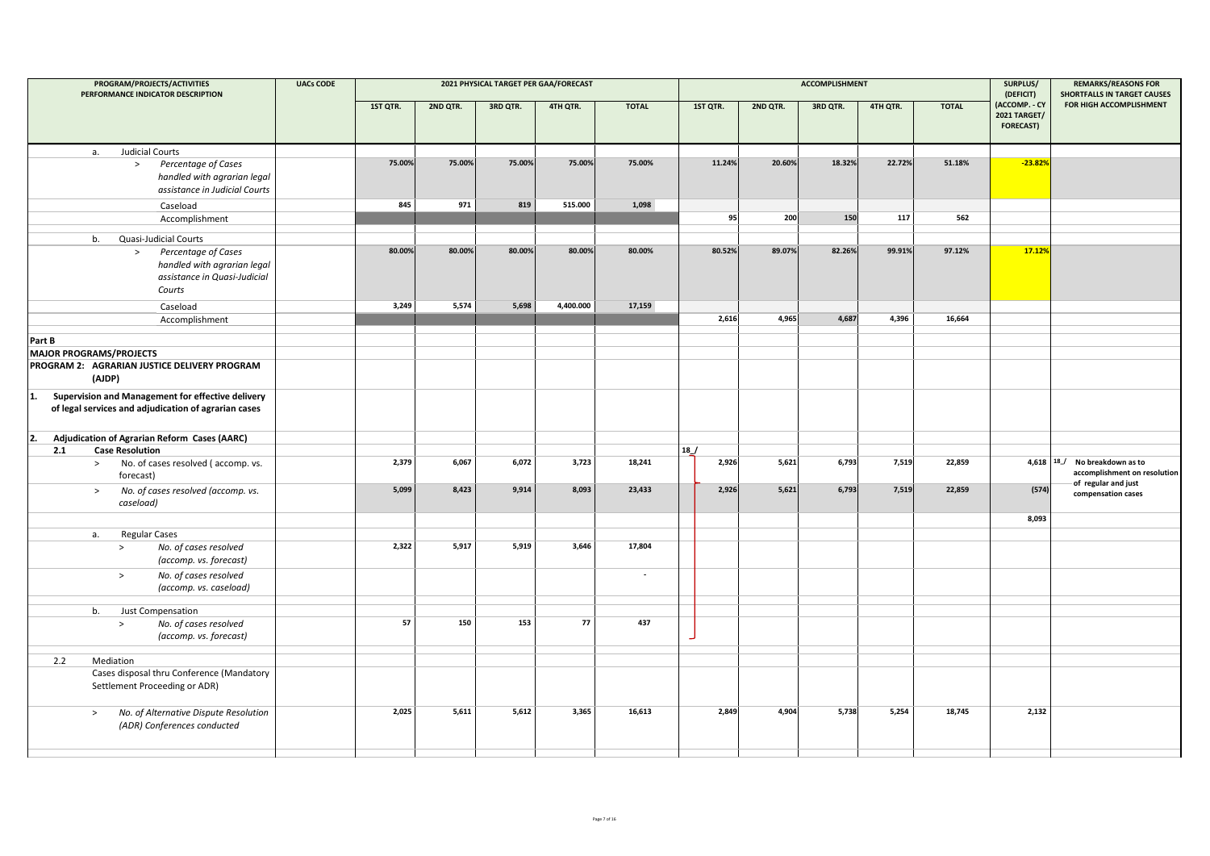| PROGRAM/PROJECTS/ACTIVITIES<br>PERFORMANCE INDICATOR DESCRIPTION                                                | <b>UACs CODE</b> |          |          |          | 2021 PHYSICAL TARGET PER GAA/FORECAST |                          |          |          | <b>ACCOMPLISHMENT</b> |          |              | SURPLUS/<br>(DEFICIT)                                    | <b>REMARKS/REASONS FOR</b><br><b>SHORTFALLS IN TARGET CAUSES</b>                   |
|-----------------------------------------------------------------------------------------------------------------|------------------|----------|----------|----------|---------------------------------------|--------------------------|----------|----------|-----------------------|----------|--------------|----------------------------------------------------------|------------------------------------------------------------------------------------|
|                                                                                                                 |                  | 1ST QTR. | 2ND QTR. | 3RD QTR. | 4TH QTR.                              | <b>TOTAL</b>             | 1ST QTR. | 2ND QTR. | 3RD QTR.              | 4TH QTR. | <b>TOTAL</b> | (ACCOMP. - CY<br><b>2021 TARGET/</b><br><b>FORECAST)</b> | FOR HIGH ACCOMPLISHMENT                                                            |
| <b>Judicial Courts</b><br>а.                                                                                    |                  |          |          |          |                                       |                          |          |          |                       |          |              |                                                          |                                                                                    |
| Percentage of Cases<br>$\,>$<br>handled with agrarian legal<br>assistance in Judicial Courts                    |                  | 75.00%   | 75.00%   | 75.00%   | 75.00%                                | 75.00%                   | 11.24%   | 20.60%   | 18.32%                | 22.72%   | 51.18%       | $-23.82%$                                                |                                                                                    |
| Caseload                                                                                                        |                  | 845      | 971      | 819      | 515.000                               | 1,098                    |          |          |                       |          |              |                                                          |                                                                                    |
| Accomplishment                                                                                                  |                  |          |          |          |                                       |                          | 95       | 200      | 150                   | 117      | 562          |                                                          |                                                                                    |
| Quasi-Judicial Courts<br>b.                                                                                     |                  |          |          |          |                                       |                          |          |          |                       |          |              |                                                          |                                                                                    |
| Percentage of Cases<br>$\geq$<br>handled with agrarian legal<br>assistance in Quasi-Judicial<br>Courts          |                  | 80.00%   | 80.00%   | 80.00%   | 80.00%                                | 80.00%                   | 80.52%   | 89.07%   | 82.26%                | 99.91%   | 97.12%       | 17.12%                                                   |                                                                                    |
| Caseload                                                                                                        |                  | 3,249    | 5,574    | 5,698    | 4,400.000                             | 17,159                   |          |          |                       |          |              |                                                          |                                                                                    |
| Accomplishment                                                                                                  |                  |          |          |          |                                       |                          | 2,616    | 4,965    | 4,687                 | 4,396    | 16,664       |                                                          |                                                                                    |
| Part B                                                                                                          |                  |          |          |          |                                       |                          |          |          |                       |          |              |                                                          |                                                                                    |
| <b>MAJOR PROGRAMS/PROJECTS</b>                                                                                  |                  |          |          |          |                                       |                          |          |          |                       |          |              |                                                          |                                                                                    |
| PROGRAM 2: AGRARIAN JUSTICE DELIVERY PROGRAM<br>(AJDP)                                                          |                  |          |          |          |                                       |                          |          |          |                       |          |              |                                                          |                                                                                    |
| Supervision and Management for effective delivery<br>1.<br>of legal services and adjudication of agrarian cases |                  |          |          |          |                                       |                          |          |          |                       |          |              |                                                          |                                                                                    |
| <b>Adjudication of Agrarian Reform Cases (AARC)</b>                                                             |                  |          |          |          |                                       |                          |          |          |                       |          |              |                                                          |                                                                                    |
| <b>Case Resolution</b><br>2.1                                                                                   |                  |          |          |          |                                       |                          | 18       |          |                       |          |              |                                                          |                                                                                    |
| No. of cases resolved (accomp. vs.<br>$\geq$<br>forecast)                                                       |                  | 2,379    | 6,067    | 6,072    | 3,723                                 | 18,241                   | 2,926    | 5,621    | 6,793                 | 7,519    | 22,859       |                                                          | 4,618 18 No breakdown as to<br>accomplishment on resolution<br>of regular and just |
| No. of cases resolved (accomp. vs.<br>$\,>$<br>caseload)                                                        |                  | 5,099    | 8,423    | 9,914    | 8,093                                 | 23,433                   | 2,926    | 5,621    | 6,793                 | 7,519    | 22,859       | (574)                                                    | compensation cases                                                                 |
|                                                                                                                 |                  |          |          |          |                                       |                          |          |          |                       |          |              | 8,093                                                    |                                                                                    |
| <b>Regular Cases</b><br>а.                                                                                      |                  |          |          |          |                                       |                          |          |          |                       |          |              |                                                          |                                                                                    |
| No. of cases resolved<br>$\rightarrow$<br>(accomp. vs. forecast)                                                |                  | 2,322    | 5,917    | 5,919    | 3,646                                 | 17,804                   |          |          |                       |          |              |                                                          |                                                                                    |
| No. of cases resolved<br>$\geq$<br>(accomp. vs. caseload)                                                       |                  |          |          |          |                                       | $\overline{\phantom{a}}$ |          |          |                       |          |              |                                                          |                                                                                    |
|                                                                                                                 |                  |          |          |          |                                       |                          |          |          |                       |          |              |                                                          |                                                                                    |
| Just Compensation<br>b.<br>No. of cases resolved<br>$\, >$<br>(accomp. vs. forecast)                            |                  | 57       | 150      | 153      | 77                                    | 437                      |          |          |                       |          |              |                                                          |                                                                                    |
|                                                                                                                 |                  |          |          |          |                                       |                          |          |          |                       |          |              |                                                          |                                                                                    |
| 2.2<br>Mediation                                                                                                |                  |          |          |          |                                       |                          |          |          |                       |          |              |                                                          |                                                                                    |
| Cases disposal thru Conference (Mandatory<br>Settlement Proceeding or ADR)                                      |                  |          |          |          |                                       |                          |          |          |                       |          |              |                                                          |                                                                                    |
| No. of Alternative Dispute Resolution<br>$\,>$<br>(ADR) Conferences conducted                                   |                  | 2,025    | 5,611    | 5,612    | 3,365                                 | 16,613                   | 2,849    | 4,904    | 5,738                 | 5,254    | 18,745       | 2,132                                                    |                                                                                    |
|                                                                                                                 |                  |          |          |          |                                       |                          |          |          |                       |          |              |                                                          |                                                                                    |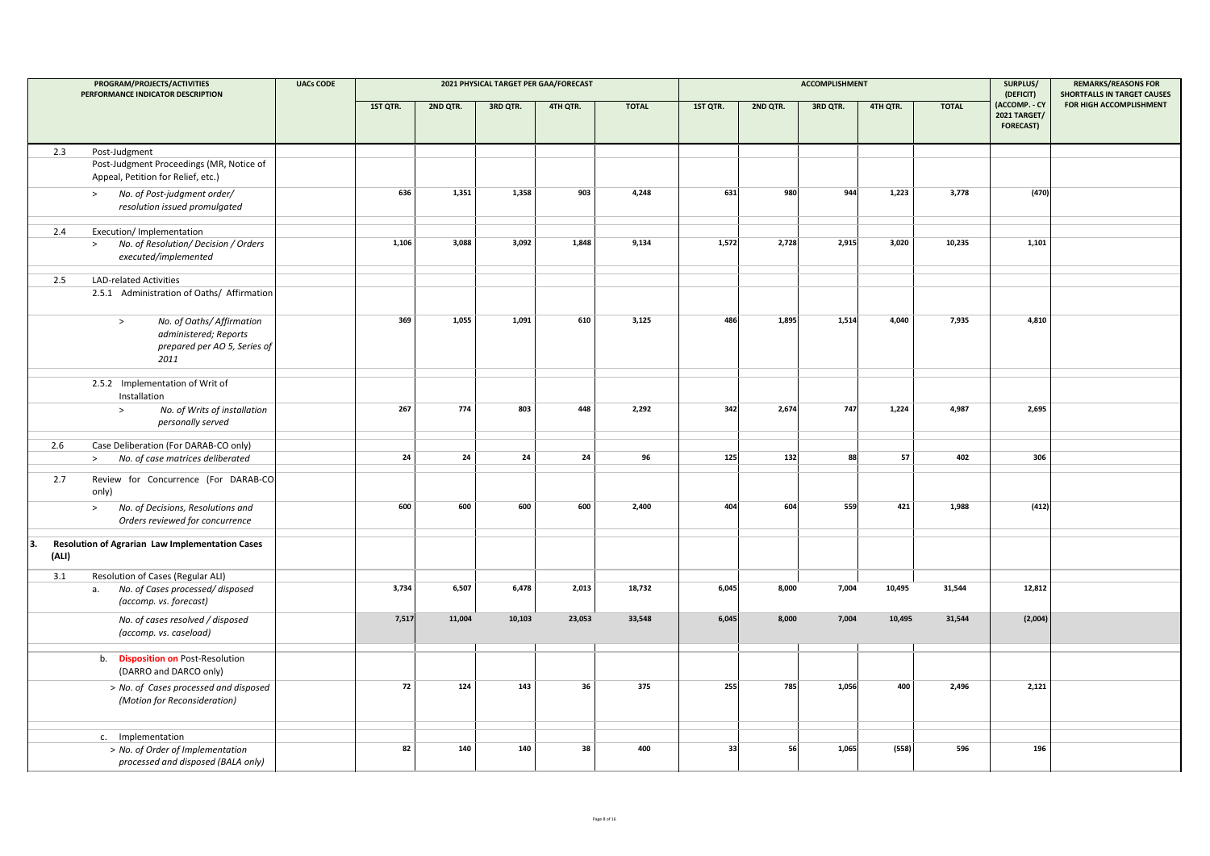|             | PROGRAM/PROJECTS/ACTIVITIES<br>PERFORMANCE INDICATOR DESCRIPTION                                     | <b>UACs CODE</b> |          |          | 2021 PHYSICAL TARGET PER GAA/FORECAST |          |              |          |          | <b>ACCOMPLISHMENT</b> |          |              | SURPLUS/<br>(DEFICIT)                                    | <b>REMARKS/REASONS FOR</b><br><b>SHORTFALLS IN TARGET CAUSES</b> |
|-------------|------------------------------------------------------------------------------------------------------|------------------|----------|----------|---------------------------------------|----------|--------------|----------|----------|-----------------------|----------|--------------|----------------------------------------------------------|------------------------------------------------------------------|
|             |                                                                                                      |                  | 1ST QTR. | 2ND QTR. | 3RD QTR.                              | 4TH QTR. | <b>TOTAL</b> | 1ST QTR. | 2ND QTR. | 3RD QTR.              | 4TH QTR. | <b>TOTAL</b> | (ACCOMP. - CY<br><b>2021 TARGET/</b><br><b>FORECAST)</b> | FOR HIGH ACCOMPLISHMENT                                          |
| 2.3         | Post-Judgment                                                                                        |                  |          |          |                                       |          |              |          |          |                       |          |              |                                                          |                                                                  |
|             | Post-Judgment Proceedings (MR, Notice of<br>Appeal, Petition for Relief, etc.)                       |                  |          |          |                                       |          |              |          |          |                       |          |              |                                                          |                                                                  |
|             | No. of Post-judgment order/<br>$\,>$<br>resolution issued promulgated                                |                  | 636      | 1,351    | 1,358                                 | 903      | 4,248        | 631      | 980      | 944                   | 1,223    | 3,778        | (470)                                                    |                                                                  |
| 2.4         | Execution/ Implementation                                                                            |                  |          |          |                                       |          |              |          |          |                       |          |              |                                                          |                                                                  |
|             | No. of Resolution/ Decision / Orders<br>$\geq$<br>executed/implemented                               |                  | 1,106    | 3,088    | 3,092                                 | 1.848    | 9,134        | 1,572    | 2,728    | 2,915                 | 3,020    | 10,235       | 1,101                                                    |                                                                  |
| 2.5         | <b>LAD-related Activities</b>                                                                        |                  |          |          |                                       |          |              |          |          |                       |          |              |                                                          |                                                                  |
|             | 2.5.1 Administration of Oaths/ Affirmation                                                           |                  |          |          |                                       |          |              |          |          |                       |          |              |                                                          |                                                                  |
|             | No. of Oaths/ Affirmation<br>$\, >$<br>administered; Reports<br>prepared per AO 5, Series of<br>2011 |                  | 369      | 1,055    | 1,091                                 | 610      | 3,125        | 486      | 1,895    | 1,514                 | 4,040    | 7,935        | 4,810                                                    |                                                                  |
|             | 2.5.2 Implementation of Writ of<br>Installation                                                      |                  |          |          |                                       |          |              |          |          |                       |          |              |                                                          |                                                                  |
|             | No. of Writs of installation<br>$\,>$<br>personally served                                           |                  | 267      | 774      | 803                                   | 448      | 2,292        | 342      | 2,674    | 747                   | 1,224    | 4,987        | 2,695                                                    |                                                                  |
| 2.6         | Case Deliberation (For DARAB-CO only)                                                                |                  |          |          |                                       |          |              |          |          |                       |          |              |                                                          |                                                                  |
|             | No. of case matrices deliberated<br>$\geq$                                                           |                  | 24       | 24       | 24                                    | 24       | 96           | 125      | 132      | 88                    | 57       | 402          | 306                                                      |                                                                  |
|             |                                                                                                      |                  |          |          |                                       |          |              |          |          |                       |          |              |                                                          |                                                                  |
| 2.7         | Review for Concurrence (For DARAB-CO<br>only)                                                        |                  |          |          |                                       |          |              |          |          |                       |          |              |                                                          |                                                                  |
|             | No. of Decisions, Resolutions and<br>$\,>$<br>Orders reviewed for concurrence                        |                  | 600      | 600      | 600                                   | 600      | 2,400        | 404      | 604      | 559                   | 421      | 1,988        | (412)                                                    |                                                                  |
| 3.<br>(ALI) | Resolution of Agrarian Law Implementation Cases                                                      |                  |          |          |                                       |          |              |          |          |                       |          |              |                                                          |                                                                  |
| 3.1         | Resolution of Cases (Regular ALI)                                                                    |                  |          |          |                                       |          |              |          |          |                       |          |              |                                                          |                                                                  |
|             | No. of Cases processed/disposed<br>a.<br>(accomp. vs. forecast)                                      |                  | 3,734    | 6,507    | 6,478                                 | 2,013    | 18,732       | 6,045    | 8,000    | 7,004                 | 10,495   | 31,544       | 12,812                                                   |                                                                  |
|             | No. of cases resolved / disposed<br>(accomp. vs. caseload)                                           |                  | 7,517    | 11,004   | 10,103                                | 23,053   | 33,548       | 6,045    | 8,000    | 7,004                 | 10,495   | 31,544       | (2,004)                                                  |                                                                  |
|             | b. Disposition on Post-Resolution<br>(DARRO and DARCO only)                                          |                  |          |          |                                       |          |              |          |          |                       |          |              |                                                          |                                                                  |
|             | > No. of Cases processed and disposed<br>(Motion for Reconsideration)                                |                  | 72       | 124      | 143                                   | 36       | 375          | 255      | 785      | 1,056                 | 400      | 2,496        | 2,121                                                    |                                                                  |
|             | c. Implementation                                                                                    |                  |          |          |                                       |          |              |          |          |                       |          |              |                                                          |                                                                  |
|             | > No. of Order of Implementation<br>processed and disposed (BALA only)                               |                  | 82       | 140      | 140                                   | 38       | 400          | 33       | 56       | 1,065                 | (558)    | 596          | 196                                                      |                                                                  |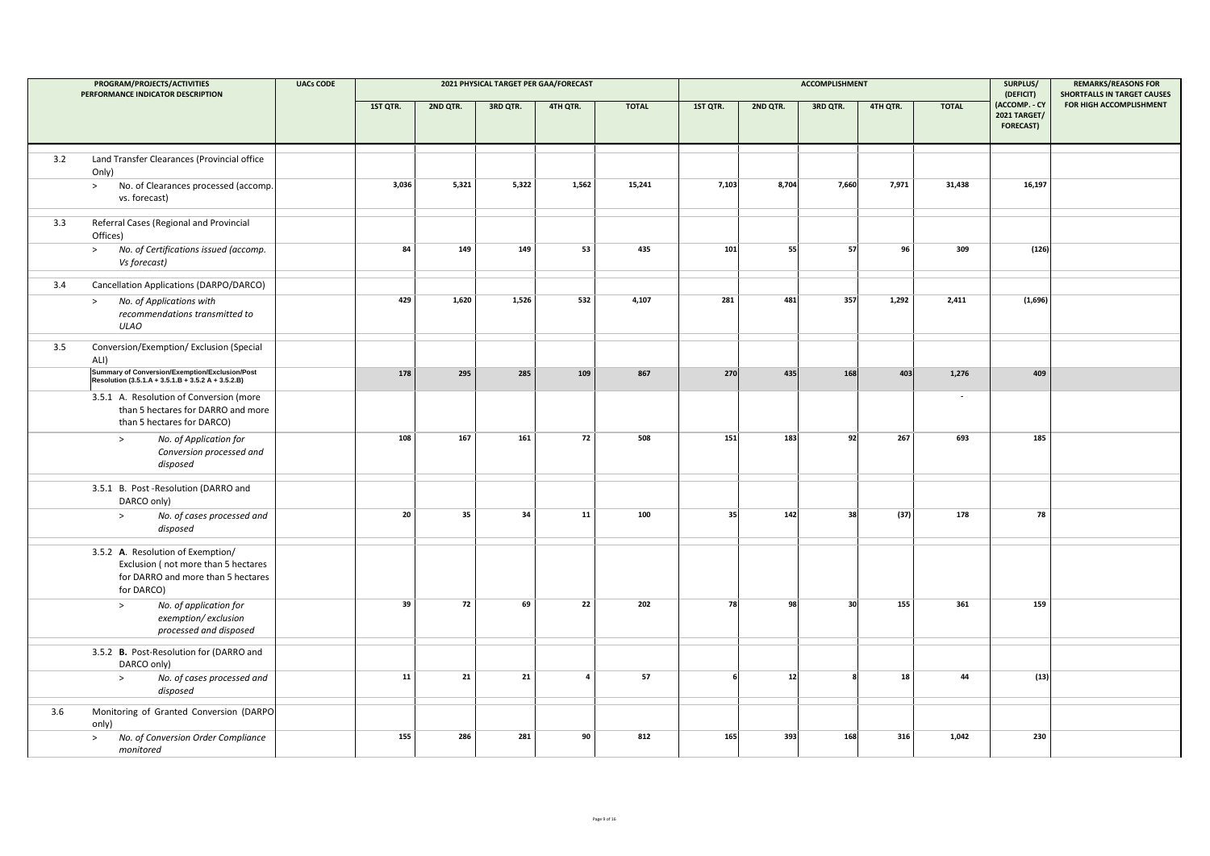|     | PROGRAM/PROJECTS/ACTIVITIES<br>PERFORMANCE INDICATOR DESCRIPTION                                                             | <b>UACs CODE</b> |            |            | 2021 PHYSICAL TARGET PER GAA/FORECAST |                         |              |                |          | <b>ACCOMPLISHMENT</b> |          |                          | SURPLUS/<br>(DEFICIT)                                    | <b>REMARKS/REASONS FOR</b><br><b>SHORTFALLS IN TARGET CAUSES</b> |
|-----|------------------------------------------------------------------------------------------------------------------------------|------------------|------------|------------|---------------------------------------|-------------------------|--------------|----------------|----------|-----------------------|----------|--------------------------|----------------------------------------------------------|------------------------------------------------------------------|
|     |                                                                                                                              |                  | 1ST QTR.   | 2ND QTR.   | 3RD QTR.                              | 4TH QTR.                | <b>TOTAL</b> | 1ST QTR.       | 2ND QTR. | 3RD QTR.              | 4TH QTR. | <b>TOTAL</b>             | (ACCOMP. - CY<br><b>2021 TARGET/</b><br><b>FORECAST)</b> | FOR HIGH ACCOMPLISHMENT                                          |
| 3.2 | Land Transfer Clearances (Provincial office<br>Only)                                                                         |                  |            |            |                                       |                         |              |                |          |                       |          |                          |                                                          |                                                                  |
|     | No. of Clearances processed (accomp.<br>$\geq$<br>vs. forecast)                                                              |                  | 3,036      | 5,321      | 5,322                                 | 1,562                   | 15,241       | 7,103          | 8,704    | 7,660                 | 7,971    | 31,438                   | 16,197                                                   |                                                                  |
| 3.3 | Referral Cases (Regional and Provincial<br>Offices)                                                                          |                  |            |            |                                       |                         |              |                |          |                       |          |                          |                                                          |                                                                  |
|     | No. of Certifications issued (accomp.<br>><br>Vs forecast)                                                                   |                  | 84         | 149        | 149                                   | 53                      | 435          | 101            | 55       | 57                    | 96       | 309                      | (126)                                                    |                                                                  |
| 3.4 | Cancellation Applications (DARPO/DARCO)                                                                                      |                  |            |            |                                       |                         |              |                |          |                       |          |                          |                                                          |                                                                  |
|     | No. of Applications with<br>$\,>$<br>recommendations transmitted to<br><b>ULAO</b>                                           |                  | 429        | 1,620      | 1,526                                 | 532                     | 4,107        | 281            | 481      | 357                   | 1,292    | 2,411                    | (1,696)                                                  |                                                                  |
| 3.5 | Conversion/Exemption/ Exclusion (Special<br>ALI)                                                                             |                  |            |            |                                       |                         |              |                |          |                       |          |                          |                                                          |                                                                  |
|     | Summary of Conversion/Exemption/Exclusion/Post<br>Resolution (3.5.1.A + 3.5.1.B + 3.5.2 A + 3.5.2.B)                         |                  | 178        | 295        | 285                                   | 109                     | 867          | 270            | 435      | 168                   | 403      | 1,276                    | 409                                                      |                                                                  |
|     | 3.5.1 A. Resolution of Conversion (more<br>than 5 hectares for DARRO and more<br>than 5 hectares for DARCO)                  |                  |            |            |                                       |                         |              |                |          |                       |          | $\overline{\phantom{a}}$ |                                                          |                                                                  |
|     | No. of Application for<br>$\, >$<br>Conversion processed and<br>disposed                                                     |                  | 108        | 167        | 161                                   | 72                      | 508          | 151            | 183      | 92                    | 267      | 693                      | 185                                                      |                                                                  |
|     | 3.5.1 B. Post-Resolution (DARRO and<br>DARCO only)                                                                           |                  |            |            |                                       |                         |              |                |          |                       |          |                          |                                                          |                                                                  |
|     | No. of cases processed and<br>$\, >$<br>disposed                                                                             |                  | 20         | 35         | 34                                    | 11                      | 100          | 35             | 142      | 38                    | (37)     | 178                      | 78                                                       |                                                                  |
|     | 3.5.2 A. Resolution of Exemption/<br>Exclusion (not more than 5 hectares<br>for DARRO and more than 5 hectares<br>for DARCO) |                  |            |            |                                       |                         |              |                |          |                       |          |                          |                                                          |                                                                  |
|     | No. of application for<br>$\,>$<br>exemption/exclusion<br>processed and disposed                                             |                  | 39         | ${\bf 72}$ | 69                                    | 22                      | 202          | 78             | 98       | 30                    | 155      | 361                      | 159                                                      |                                                                  |
|     | 3.5.2 B. Post-Resolution for (DARRO and<br>DARCO only)                                                                       |                  |            |            |                                       |                         |              |                |          |                       |          |                          |                                                          |                                                                  |
|     | No. of cases processed and<br>$\, >$<br>disposed                                                                             |                  | ${\bf 11}$ | 21         | 21                                    | $\overline{\mathbf{4}}$ | 57           | 6 <sup>1</sup> | 12       |                       | 18       | 44                       | (13)                                                     |                                                                  |
| 3.6 | Monitoring of Granted Conversion (DARPO<br>only)                                                                             |                  |            |            |                                       |                         |              |                |          |                       |          |                          |                                                          |                                                                  |
|     | No. of Conversion Order Compliance<br>$\,>\,$<br>monitored                                                                   |                  | 155        | 286        | 281                                   | 90                      | 812          | 165            | 393      | 168                   | 316      | 1,042                    | 230                                                      |                                                                  |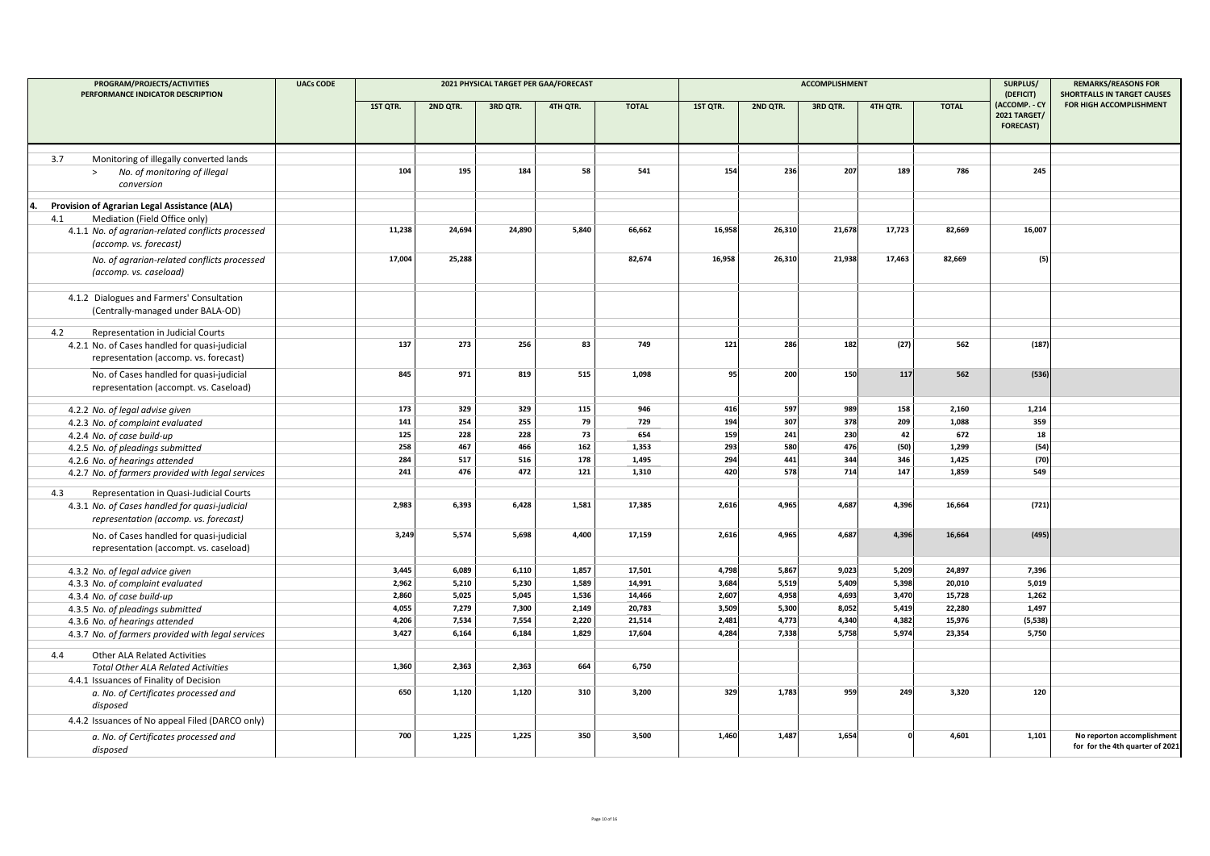| PROGRAM/PROJECTS/ACTIVITIES<br>PERFORMANCE INDICATOR DESCRIPTION | <b>UACs CODE</b> |          |          | 2021 PHYSICAL TARGET PER GAA/FORECAST |          |              |          |          | <b>ACCOMPLISHMENT</b> |          |              | SURPLUS/                                                              | <b>REMARKS/REASONS FOR</b><br><b>SHORTFALLS IN TARGET CAUSES</b> |
|------------------------------------------------------------------|------------------|----------|----------|---------------------------------------|----------|--------------|----------|----------|-----------------------|----------|--------------|-----------------------------------------------------------------------|------------------------------------------------------------------|
|                                                                  |                  | 1ST QTR. | 2ND QTR. | 3RD QTR.                              | 4TH QTR. | <b>TOTAL</b> | 1ST QTR. | 2ND QTR. | 3RD QTR.              | 4TH QTR. | <b>TOTAL</b> | (DEFICIT)<br>(ACCOMP. - CY<br><b>2021 TARGET/</b><br><b>FORECAST)</b> | FOR HIGH ACCOMPLISHMENT                                          |
| Monitoring of illegally converted lands<br>3.7                   |                  |          |          |                                       |          |              |          |          |                       |          |              |                                                                       |                                                                  |
| No. of monitoring of illegal<br>$\geq$                           |                  | 104      | 195      | 184                                   | 58       | 541          | 154      | 236      | 207                   | 189      | 786          | 245                                                                   |                                                                  |
| conversion                                                       |                  |          |          |                                       |          |              |          |          |                       |          |              |                                                                       |                                                                  |
|                                                                  |                  |          |          |                                       |          |              |          |          |                       |          |              |                                                                       |                                                                  |
| Provision of Agrarian Legal Assistance (ALA)<br>4.               |                  |          |          |                                       |          |              |          |          |                       |          |              |                                                                       |                                                                  |
| Mediation (Field Office only)<br>4.1                             |                  |          |          |                                       |          |              |          |          |                       |          |              |                                                                       |                                                                  |
| 4.1.1 No. of agrarian-related conflicts processed                |                  | 11,238   | 24,694   | 24,890                                | 5,840    | 66,662       | 16,958   | 26,310   | 21,678                | 17,723   | 82,669       | 16,007                                                                |                                                                  |
| (accomp. vs. forecast)                                           |                  |          |          |                                       |          |              |          |          |                       |          |              |                                                                       |                                                                  |
| No. of agrarian-related conflicts processed                      |                  | 17,004   | 25,288   |                                       |          | 82,674       | 16,958   | 26,310   | 21,938                | 17,463   | 82,669       | (5)                                                                   |                                                                  |
| (accomp. vs. caseload)                                           |                  |          |          |                                       |          |              |          |          |                       |          |              |                                                                       |                                                                  |
|                                                                  |                  |          |          |                                       |          |              |          |          |                       |          |              |                                                                       |                                                                  |
| 4.1.2 Dialogues and Farmers' Consultation                        |                  |          |          |                                       |          |              |          |          |                       |          |              |                                                                       |                                                                  |
| (Centrally-managed under BALA-OD)                                |                  |          |          |                                       |          |              |          |          |                       |          |              |                                                                       |                                                                  |
| Representation in Judicial Courts<br>4.2                         |                  |          |          |                                       |          |              |          |          |                       |          |              |                                                                       |                                                                  |
| 4.2.1 No. of Cases handled for quasi-judicial                    |                  | 137      | 273      | 256                                   | 83       | 749          | $121$    | 286      | 182                   | (27)     | 562          | (187)                                                                 |                                                                  |
| representation (accomp. vs. forecast)                            |                  |          |          |                                       |          |              |          |          |                       |          |              |                                                                       |                                                                  |
|                                                                  |                  | 845      | 971      | 819                                   | 515      | 1.098        | 95       | 200      | 150                   | 117      | 562          | (536)                                                                 |                                                                  |
| No. of Cases handled for quasi-judicial                          |                  |          |          |                                       |          |              |          |          |                       |          |              |                                                                       |                                                                  |
| representation (accompt. vs. Caseload)                           |                  |          |          |                                       |          |              |          |          |                       |          |              |                                                                       |                                                                  |
| 4.2.2 No. of legal advise given                                  |                  | 173      | 329      | 329                                   | 115      | 946          | 416      | 597      | 989                   | 158      | 2,160        | 1,214                                                                 |                                                                  |
| 4.2.3 No. of complaint evaluated                                 |                  | 141      | 254      | 255                                   | 79       | 729          | 194      | 307      | 378                   | 209      | 1,088        | 359                                                                   |                                                                  |
| 4.2.4 No. of case build-up                                       |                  | 125      | 228      | 228                                   | 73       | 654          | 159      | 241      | 230                   | 42       | 672          | 18                                                                    |                                                                  |
| 4.2.5 No. of pleadings submitted                                 |                  | 258      | 467      | 466                                   | 162      | 1,353        | 293      | 580      | 476                   | (50)     | 1,299        | (54)                                                                  |                                                                  |
| 4.2.6 No. of hearings attended                                   |                  | 284      | 517      | 516                                   | 178      | 1,495        | 294      | 441      | 344                   | 346      | 1,425        | (70)                                                                  |                                                                  |
| 4.2.7 No. of farmers provided with legal services                |                  | 241      | 476      | 472                                   | 121      | 1,310        | 420      | 578      | 714                   | 147      | 1,859        | 549                                                                   |                                                                  |
| Representation in Quasi-Judicial Courts<br>4.3                   |                  |          |          |                                       |          |              |          |          |                       |          |              |                                                                       |                                                                  |
| 4.3.1 No. of Cases handled for quasi-judicial                    |                  | 2,983    | 6,393    | 6,428                                 | 1,581    | 17,385       | 2,616    | 4,965    | 4,687                 | 4,396    | 16,664       | (721)                                                                 |                                                                  |
| representation (accomp. vs. forecast)                            |                  |          |          |                                       |          |              |          |          |                       |          |              |                                                                       |                                                                  |
|                                                                  |                  |          |          |                                       |          |              |          |          |                       |          |              |                                                                       |                                                                  |
| No. of Cases handled for quasi-judicial                          |                  | 3,249    | 5,574    | 5,698                                 | 4,400    | 17,159       | 2,616    | 4,965    | 4,687                 | 4,396    | 16,664       | (495)                                                                 |                                                                  |
| representation (accompt. vs. caseload)                           |                  |          |          |                                       |          |              |          |          |                       |          |              |                                                                       |                                                                  |
| 4.3.2 No. of legal advice given                                  |                  | 3,445    | 6,089    | 6,110                                 | 1,857    | 17,501       | 4,798    | 5,867    | 9,023                 | 5,209    | 24,897       | 7,396                                                                 |                                                                  |
| 4.3.3 No. of complaint evaluated                                 |                  | 2,962    | 5,210    | 5,230                                 | 1,589    | 14,991       | 3,684    | 5,519    | 5,409                 | 5,398    | 20,010       | 5,019                                                                 |                                                                  |
| 4.3.4 No. of case build-up                                       |                  | 2,860    | 5,025    | 5,045                                 | 1,536    | 14,466       | 2,607    | 4,958    | 4,693                 | 3,470    | 15,728       | 1,262                                                                 |                                                                  |
| 4.3.5 No. of pleadings submitted                                 |                  | 4,055    | 7,279    | 7,300                                 | 2,149    | 20,783       | 3,509    | 5,300    | 8,052                 | 5,419    | 22,280       | 1,497                                                                 |                                                                  |
| 4.3.6 No. of hearings attended                                   |                  | 4,206    | 7,534    | 7,554                                 | 2,220    | 21,514       | 2,481    | 4,773    | 4,340                 | 4,382    | 15,976       | (5, 538)                                                              |                                                                  |
| 4.3.7 No. of farmers provided with legal services                |                  | 3,427    | 6,164    | 6,184                                 | 1,829    | 17,604       | 4,284    | 7,338    | 5,758                 | 5,974    | 23,354       | 5,750                                                                 |                                                                  |
|                                                                  |                  |          |          |                                       |          |              |          |          |                       |          |              |                                                                       |                                                                  |
| Other ALA Related Activities<br>4.4                              |                  | 1,360    | 2,363    | 2,363                                 | 664      | 6,750        |          |          |                       |          |              |                                                                       |                                                                  |
| <b>Total Other ALA Related Activities</b>                        |                  |          |          |                                       |          |              |          |          |                       |          |              |                                                                       |                                                                  |
| 4.4.1 Issuances of Finality of Decision                          |                  | 650      | 1,120    | 1,120                                 | 310      | 3,200        | 329      | 1,783    | 959                   | 249      | 3,320        | 120                                                                   |                                                                  |
| a. No. of Certificates processed and<br>disposed                 |                  |          |          |                                       |          |              |          |          |                       |          |              |                                                                       |                                                                  |
|                                                                  |                  |          |          |                                       |          |              |          |          |                       |          |              |                                                                       |                                                                  |
| 4.4.2 Issuances of No appeal Filed (DARCO only)                  |                  |          |          |                                       |          |              |          |          |                       |          |              |                                                                       |                                                                  |
| a. No. of Certificates processed and                             |                  | 700      | 1,225    | 1,225                                 | 350      | 3,500        | 1,460    | 1,487    | 1,654                 |          | 4,601        | 1,101                                                                 | No reporton accomplishment                                       |
| disposed                                                         |                  |          |          |                                       |          |              |          |          |                       |          |              |                                                                       | for for the 4th quarter of 2021                                  |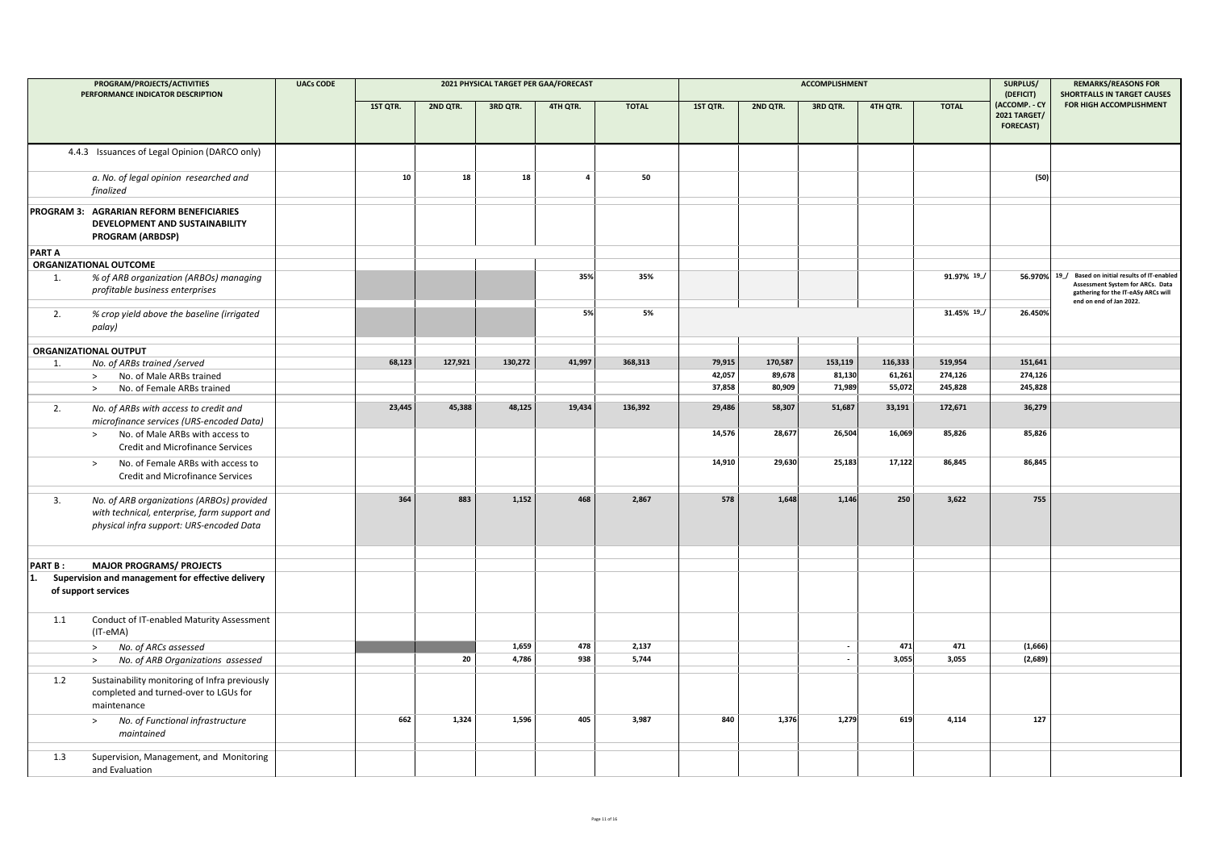|                      | PROGRAM/PROJECTS/ACTIVITIES<br>PERFORMANCE INDICATOR DESCRIPTION                                                                      | <b>UACs CODE</b> |          |          |          | 2021 PHYSICAL TARGET PER GAA/FORECAST |              |          |          | <b>ACCOMPLISHMENT</b>    |          |              | SURPLUS/<br>(DEFICIT)                                    | <b>REMARKS/REASONS FOR</b><br><b>SHORTFALLS IN TARGET CAUSES</b>                                                                                          |
|----------------------|---------------------------------------------------------------------------------------------------------------------------------------|------------------|----------|----------|----------|---------------------------------------|--------------|----------|----------|--------------------------|----------|--------------|----------------------------------------------------------|-----------------------------------------------------------------------------------------------------------------------------------------------------------|
|                      |                                                                                                                                       |                  | 1ST QTR. | 2ND QTR. | 3RD QTR. | 4TH QTR.                              | <b>TOTAL</b> | 1ST QTR. | 2ND QTR. | 3RD QTR.                 | 4TH QTR. | <b>TOTAL</b> | (ACCOMP. - CY<br><b>2021 TARGET/</b><br><b>FORECAST)</b> | FOR HIGH ACCOMPLISHMENT                                                                                                                                   |
|                      | 4.4.3 Issuances of Legal Opinion (DARCO only)                                                                                         |                  |          |          |          |                                       |              |          |          |                          |          |              |                                                          |                                                                                                                                                           |
|                      | a. No. of legal opinion researched and<br>finalized                                                                                   |                  | 10       | 18       | 18       | $\overline{\mathbf{4}}$               | 50           |          |          |                          |          |              | (50)                                                     |                                                                                                                                                           |
|                      | PROGRAM 3: AGRARIAN REFORM BENEFICIARIES<br>DEVELOPMENT AND SUSTAINABILITY<br>PROGRAM (ARBDSP)                                        |                  |          |          |          |                                       |              |          |          |                          |          |              |                                                          |                                                                                                                                                           |
| <b>PART A</b>        |                                                                                                                                       |                  |          |          |          |                                       |              |          |          |                          |          |              |                                                          |                                                                                                                                                           |
|                      | ORGANIZATIONAL OUTCOME                                                                                                                |                  |          |          |          |                                       |              |          |          |                          |          |              |                                                          |                                                                                                                                                           |
| 1.                   | % of ARB organization (ARBOs) managing<br>profitable business enterprises                                                             |                  |          |          |          | 35%                                   | 35%          |          |          |                          |          | 91.97% 19    |                                                          | 56.970% 19_/ Based on initial results of IT-enabled<br>Assessment System for ARCs. Data<br>gathering for the IT-eASy ARCs will<br>end on end of Jan 2022. |
| 2.                   | % crop yield above the baseline (irrigated<br>palay)                                                                                  |                  |          |          |          | 5%                                    | 5%           |          |          |                          |          | 31.45% 19    | 26.450%                                                  |                                                                                                                                                           |
|                      | ORGANIZATIONAL OUTPUT                                                                                                                 |                  |          |          |          |                                       |              |          |          |                          |          |              |                                                          |                                                                                                                                                           |
| 1.                   | No. of ARBs trained /served                                                                                                           |                  | 68,123   | 127,921  | 130,272  | 41,997                                | 368,313      | 79,915   | 170,587  | 153,119                  | 116,333  | 519,954      | 151,641                                                  |                                                                                                                                                           |
|                      | No. of Male ARBs trained<br>$\geq$                                                                                                    |                  |          |          |          |                                       |              | 42,057   | 89,678   | 81,130                   | 61,261   | 274,126      | 274,126                                                  |                                                                                                                                                           |
|                      | No. of Female ARBs trained<br>$\,>$                                                                                                   |                  |          |          |          |                                       |              | 37,858   | 80,909   | 71,989                   | 55,072   | 245,828      | 245,828                                                  |                                                                                                                                                           |
| 2.                   | No. of ARBs with access to credit and<br>microfinance services (URS-encoded Data)                                                     |                  | 23,445   | 45,388   | 48,125   | 19,434                                | 136,392      | 29,486   | 58,307   | 51,687                   | 33,191   | 172,671      | 36,279                                                   |                                                                                                                                                           |
|                      | No. of Male ARBs with access to<br>$\geq$<br><b>Credit and Microfinance Services</b>                                                  |                  |          |          |          |                                       |              | 14,576   | 28,677   | 26,504                   | 16,069   | 85,826       | 85,826                                                   |                                                                                                                                                           |
|                      | No. of Female ARBs with access to<br>$\,>$<br><b>Credit and Microfinance Services</b>                                                 |                  |          |          |          |                                       |              | 14,910   | 29,630   | 25,183                   | 17,122   | 86,845       | 86,845                                                   |                                                                                                                                                           |
| 3.                   | No. of ARB organizations (ARBOs) provided<br>with technical, enterprise, farm support and<br>physical infra support: URS-encoded Data |                  | 364      | 883      | 1,152    | 468                                   | 2,867        | 578      | 1,648    | 1,146                    | 250      | 3,622        | 755                                                      |                                                                                                                                                           |
|                      | <b>MAJOR PROGRAMS/ PROJECTS</b>                                                                                                       |                  |          |          |          |                                       |              |          |          |                          |          |              |                                                          |                                                                                                                                                           |
| <b>PART B:</b><br>1. | Supervision and management for effective delivery<br>of support services                                                              |                  |          |          |          |                                       |              |          |          |                          |          |              |                                                          |                                                                                                                                                           |
| 1.1                  | Conduct of IT-enabled Maturity Assessment<br>(IT-eMA)                                                                                 |                  |          |          |          |                                       |              |          |          |                          |          |              |                                                          |                                                                                                                                                           |
|                      | No. of ARCs assessed<br>$\geq$                                                                                                        |                  |          |          | 1,659    | 478                                   | 2,137        |          |          | $\overline{\phantom{a}}$ | 471      | 471          | (1,666)                                                  |                                                                                                                                                           |
|                      | No. of ARB Organizations assessed<br>$\geq$                                                                                           |                  |          | 20       | 4,786    | 938                                   | 5,744        |          |          | $\overline{\phantom{a}}$ | 3,055    | 3,055        | (2,689)                                                  |                                                                                                                                                           |
| 1.2                  | Sustainability monitoring of Infra previously<br>completed and turned-over to LGUs for<br>maintenance                                 |                  |          |          |          |                                       |              |          |          |                          |          |              |                                                          |                                                                                                                                                           |
|                      | No. of Functional infrastructure<br>$\,>$<br>maintained                                                                               |                  | 662      | 1,324    | 1,596    | 405                                   | 3,987        | 840      | 1,376    | 1,279                    | 619      | 4,114        | 127                                                      |                                                                                                                                                           |
| 1.3                  | Supervision, Management, and Monitoring<br>and Evaluation                                                                             |                  |          |          |          |                                       |              |          |          |                          |          |              |                                                          |                                                                                                                                                           |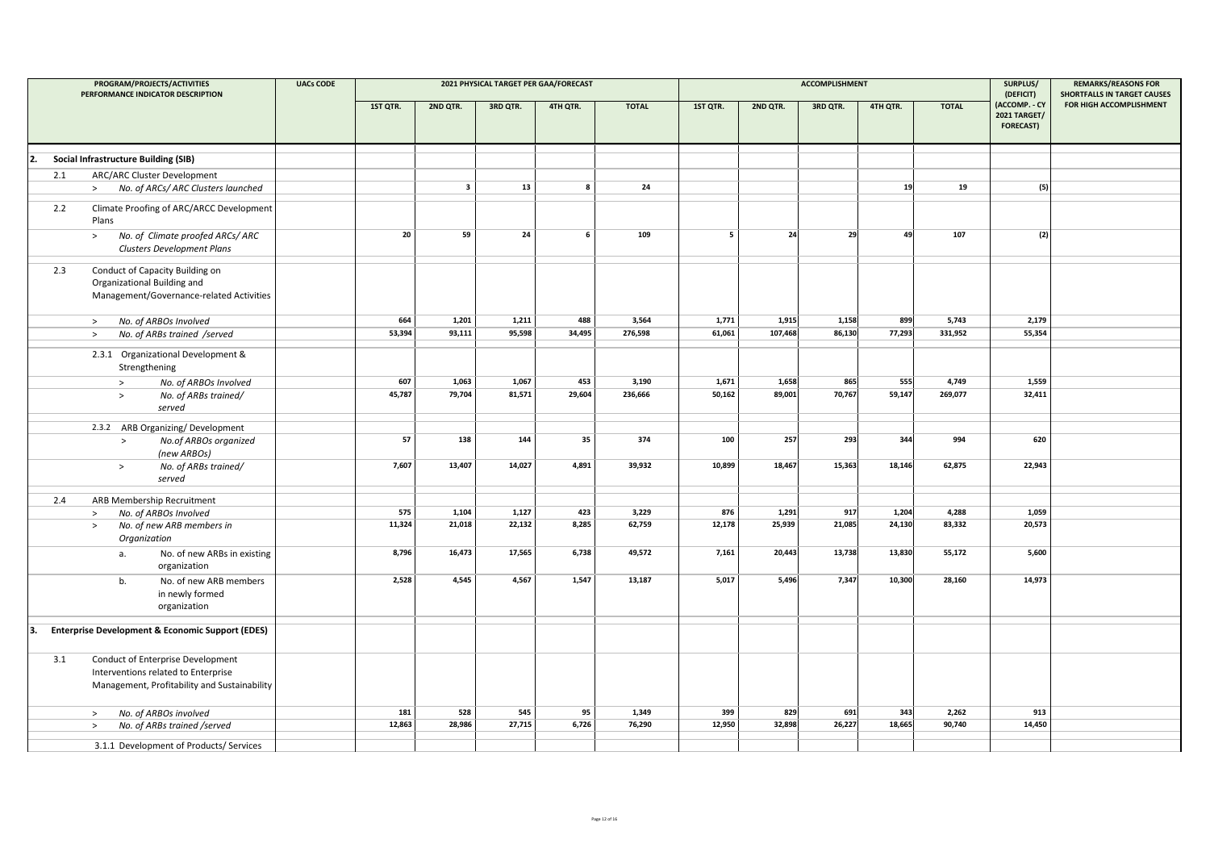|     | PROGRAM/PROJECTS/ACTIVITIES<br>PERFORMANCE INDICATOR DESCRIPTION                                                         | <b>UACs CODE</b> |          |                         |          | 2021 PHYSICAL TARGET PER GAA/FORECAST |              |          |          | <b>ACCOMPLISHMENT</b> |          |              | SURPLUS/<br>(DEFICIT)                                    | <b>REMARKS/REASONS FOR</b><br><b>SHORTFALLS IN TARGET CAUSES</b> |
|-----|--------------------------------------------------------------------------------------------------------------------------|------------------|----------|-------------------------|----------|---------------------------------------|--------------|----------|----------|-----------------------|----------|--------------|----------------------------------------------------------|------------------------------------------------------------------|
|     |                                                                                                                          |                  | 1ST QTR. | 2ND QTR.                | 3RD QTR. | 4TH QTR.                              | <b>TOTAL</b> | 1ST QTR. | 2ND QTR. | 3RD QTR.              | 4TH QTR. | <b>TOTAL</b> | (ACCOMP. - CY<br><b>2021 TARGET/</b><br><b>FORECAST)</b> | FOR HIGH ACCOMPLISHMENT                                          |
| 2.  | <b>Social Infrastructure Building (SIB)</b>                                                                              |                  |          |                         |          |                                       |              |          |          |                       |          |              |                                                          |                                                                  |
| 2.1 | ARC/ARC Cluster Development                                                                                              |                  |          |                         |          |                                       |              |          |          |                       |          |              |                                                          |                                                                  |
|     | No. of ARCs/ ARC Clusters launched<br>$\geq$                                                                             |                  |          | $\overline{\mathbf{3}}$ | 13       | $\mathbf{8}$                          | 24           |          |          |                       | 19       | 19           | (5)                                                      |                                                                  |
| 2.2 | Climate Proofing of ARC/ARCC Development<br>Plans                                                                        |                  |          |                         |          |                                       |              |          |          |                       |          |              |                                                          |                                                                  |
|     | No. of Climate proofed ARCs/ARC<br>$\,>$<br>Clusters Development Plans                                                   |                  | 20       | 59                      | 24       | 6                                     | 109          | 5        | 24       | 29                    | 49       | 107          | (2)                                                      |                                                                  |
| 2.3 | Conduct of Capacity Building on<br>Organizational Building and<br>Management/Governance-related Activities               |                  |          |                         |          |                                       |              |          |          |                       |          |              |                                                          |                                                                  |
|     | No. of ARBOs Involved<br>$\,>$                                                                                           |                  | 664      | 1,201                   | 1,211    | 488                                   | 3,564        | 1,771    | 1,915    | 1,158                 | 899      | 5,743        | 2,179                                                    |                                                                  |
|     | No. of ARBs trained /served<br>$\rightarrow$                                                                             |                  | 53,394   | 93,111                  | 95,598   | 34,495                                | 276,598      | 61,061   | 107,468  | 86,130                | 77,293   | 331,952      | 55,354                                                   |                                                                  |
|     | 2.3.1 Organizational Development &<br>Strengthening                                                                      |                  |          |                         |          |                                       |              |          |          |                       |          |              |                                                          |                                                                  |
|     | No. of ARBOs Involved<br>$\rightarrow$                                                                                   |                  | 607      | 1,063                   | 1,067    | 453                                   | 3,190        | 1,671    | 1,658    | 865                   | 555      | 4,749        | 1,559                                                    |                                                                  |
|     | No. of ARBs trained/<br>$\rightarrow$<br>served                                                                          |                  | 45,787   | 79,704                  | 81,571   | 29,604                                | 236,666      | 50,162   | 89,001   | 70,767                | 59,147   | 269,077      | 32,411                                                   |                                                                  |
|     | 2.3.2 ARB Organizing/Development                                                                                         |                  |          |                         |          |                                       |              |          |          |                       |          |              |                                                          |                                                                  |
|     | No.of ARBOs organized<br>$\,>\,$<br>(new ARBOs)                                                                          |                  | 57       | 138                     | 144      | 35                                    | 374          | 100      | 257      | 293                   | 344      | 994          | 620                                                      |                                                                  |
|     | No. of ARBs trained/<br>$\geq$<br>served                                                                                 |                  | 7,607    | 13,407                  | 14,027   | 4,891                                 | 39,932       | 10,899   | 18,467   | 15,363                | 18,146   | 62,875       | 22,943                                                   |                                                                  |
| 2.4 | ARB Membership Recruitment                                                                                               |                  |          |                         |          |                                       |              |          |          |                       |          |              |                                                          |                                                                  |
|     | No. of ARBOs Involved<br>$\,>$                                                                                           |                  | 575      | 1,104                   | 1,127    | 423                                   | 3,229        | 876      | 1,291    | 917                   | 1,204    | 4,288        | 1,059                                                    |                                                                  |
|     | No. of new ARB members in<br>$\geq$<br>Organization                                                                      |                  | 11,324   | 21,018                  | 22,132   | 8,285                                 | 62,759       | 12,178   | 25,939   | 21,085                | 24,130   | 83,332       | 20,573                                                   |                                                                  |
|     | No. of new ARBs in existing<br>a.<br>organization                                                                        |                  | 8,796    | 16,473                  | 17,565   | 6,738                                 | 49,572       | 7,161    | 20,443   | 13,738                | 13,830   | 55,172       | 5,600                                                    |                                                                  |
|     | b.<br>No. of new ARB members<br>in newly formed<br>organization                                                          |                  | 2,528    | 4,545                   | 4,567    | 1,547                                 | 13,187       | 5,017    | 5,496    | 7,347                 | 10,300   | 28,160       | 14,973                                                   |                                                                  |
| ١з. | <b>Enterprise Development &amp; Economic Support (EDES)</b>                                                              |                  |          |                         |          |                                       |              |          |          |                       |          |              |                                                          |                                                                  |
| 3.1 | Conduct of Enterprise Development<br>Interventions related to Enterprise<br>Management, Profitability and Sustainability |                  |          |                         |          |                                       |              |          |          |                       |          |              |                                                          |                                                                  |
|     | No. of ARBOs involved<br>$\geq$                                                                                          |                  | 181      | 528                     | 545      | 95                                    | 1,349        | 399      | 829      | 691                   | 343      | 2,262        | 913                                                      |                                                                  |
|     | No. of ARBs trained /served<br>$\,>$                                                                                     |                  | 12,863   | 28,986                  | 27,715   | 6,726                                 | 76,290       | 12,950   | 32,898   | 26,227                | 18,665   | 90,740       | 14,450                                                   |                                                                  |
|     | 3.1.1 Development of Products/ Services                                                                                  |                  |          |                         |          |                                       |              |          |          |                       |          |              |                                                          |                                                                  |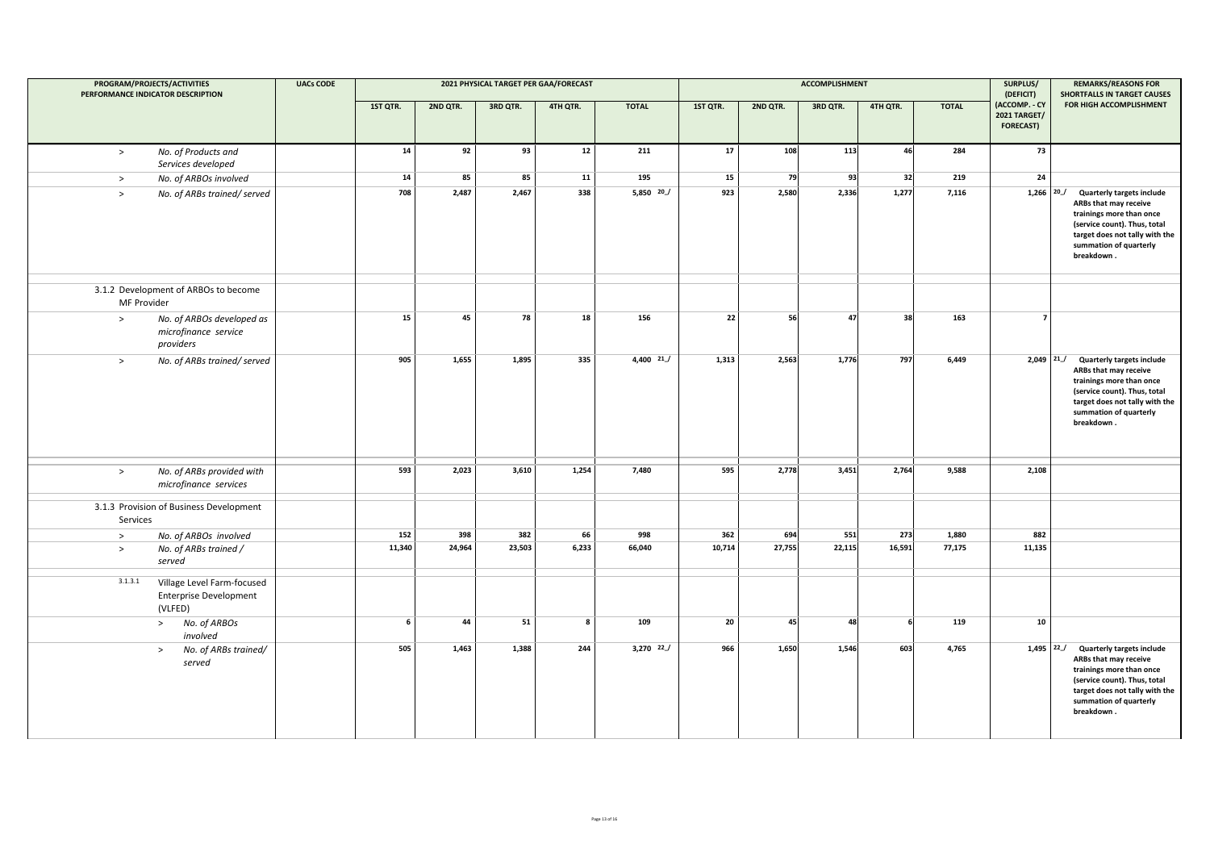| PROGRAM/PROJECTS/ACTIVITIES<br>PERFORMANCE INDICATOR DESCRIPTION |                                                                        | <b>UACs CODE</b> | 2021 PHYSICAL TARGET PER GAA/FORECAST |          |          |          |               |          |          | ACCOMPLISHMENT | SURPLUS/<br>(DEFICIT) | <b>REMARKS/REASONS FOR</b><br>SHORTFALLS IN TARGET CAUSES |                                                          |                                                                                                                                                                                                 |
|------------------------------------------------------------------|------------------------------------------------------------------------|------------------|---------------------------------------|----------|----------|----------|---------------|----------|----------|----------------|-----------------------|-----------------------------------------------------------|----------------------------------------------------------|-------------------------------------------------------------------------------------------------------------------------------------------------------------------------------------------------|
|                                                                  |                                                                        |                  | 1ST QTR.                              | 2ND QTR. | 3RD QTR. | 4TH QTR. | <b>TOTAL</b>  | 1ST QTR. | 2ND QTR. | 3RD QTR.       | 4TH QTR.              | <b>TOTAL</b>                                              | (ACCOMP. - CY<br><b>2021 TARGET/</b><br><b>FORECAST)</b> | FOR HIGH ACCOMPLISHMENT                                                                                                                                                                         |
| $\,>$                                                            | No. of Products and<br>Services developed                              |                  | 14                                    | 92       | 93       | 12       | 211           | 17       | 108      | 113            | 46                    | 284                                                       | 73                                                       |                                                                                                                                                                                                 |
| $\geq$                                                           | No. of ARBOs involved                                                  |                  | 14                                    | 85       | 85       | 11       | 195           | 15       | 79       | 93             | 32                    | 219                                                       | 24                                                       |                                                                                                                                                                                                 |
| $\rightarrow$                                                    | No. of ARBs trained/served                                             |                  | 708                                   | 2,487    | 2,467    | 338      | $5,850$ $20$  | 923      | 2,580    | 2,336          | 1,277                 | 7,116                                                     | $1,266$ $20$                                             | <b>Quarterly targets include</b><br>ARBs that may receive<br>trainings more than once<br>(service count). Thus, total<br>target does not tally with the<br>summation of quarterly<br>breakdown. |
| MF Provider                                                      | 3.1.2 Development of ARBOs to become                                   |                  |                                       |          |          |          |               |          |          |                |                       |                                                           |                                                          |                                                                                                                                                                                                 |
| $\,>$                                                            | No. of ARBOs developed as<br>microfinance service<br>providers         |                  | 15                                    | 45       | 78       | 18       | 156           | 22       | 56       | 47             | 38                    | 163                                                       | $\overline{\phantom{a}}$                                 |                                                                                                                                                                                                 |
| $\geq$                                                           | No. of ARBs trained/served                                             |                  | 905                                   | 1,655    | 1,895    | 335      | $4,400$ $21$  | 1,313    | 2,563    | 1,776          | 797                   | 6,449                                                     | $2,049$ $21$                                             | <b>Quarterly targets include</b><br>ARBs that may receive<br>trainings more than once<br>(service count). Thus, total<br>target does not tally with the<br>summation of quarterly<br>breakdown. |
| $\rightarrow$                                                    | No. of ARBs provided with<br>microfinance services                     |                  | 593                                   | 2,023    | 3,610    | 1,254    | 7,480         | 595      | 2,778    | 3,451          | 2,764                 | 9,588                                                     | 2,108                                                    |                                                                                                                                                                                                 |
| Services                                                         | 3.1.3 Provision of Business Development                                |                  |                                       |          |          |          |               |          |          |                |                       |                                                           |                                                          |                                                                                                                                                                                                 |
| $\rightarrow$                                                    | No. of ARBOs involved                                                  |                  | 152                                   | 398      | 382      | 66       | 998           | 362      | 694      | 551            | 273                   | 1,880                                                     | 882                                                      |                                                                                                                                                                                                 |
| $\,>$                                                            | No. of ARBs trained /<br>served                                        |                  | 11,340                                | 24,964   | 23,503   | 6,233    | 66,040        | 10,714   | 27,755   | 22,115         | 16,591                | 77,175                                                    | 11,135                                                   |                                                                                                                                                                                                 |
| 3.1.3.1                                                          | Village Level Farm-focused<br><b>Enterprise Development</b><br>(VLFED) |                  |                                       |          |          |          |               |          |          |                |                       |                                                           |                                                          |                                                                                                                                                                                                 |
|                                                                  | No. of ARBOs<br>><br>involved                                          |                  | 6                                     | 44       | 51       | 8        | 109           | 20       | 45       | 48             |                       | 119                                                       | 10                                                       |                                                                                                                                                                                                 |
|                                                                  | No. of ARBs trained/<br>$\,>$<br>served                                |                  | 505                                   | 1,463    | 1,388    | 244      | $3,270$ $22/$ | 966      | 1,650    | 1,546          | 603                   | 4,765                                                     | $1,495$ 22                                               | <b>Quarterly targets include</b><br>ARBs that may receive<br>trainings more than once<br>(service count). Thus, total<br>target does not tally with the<br>summation of quarterly<br>breakdown. |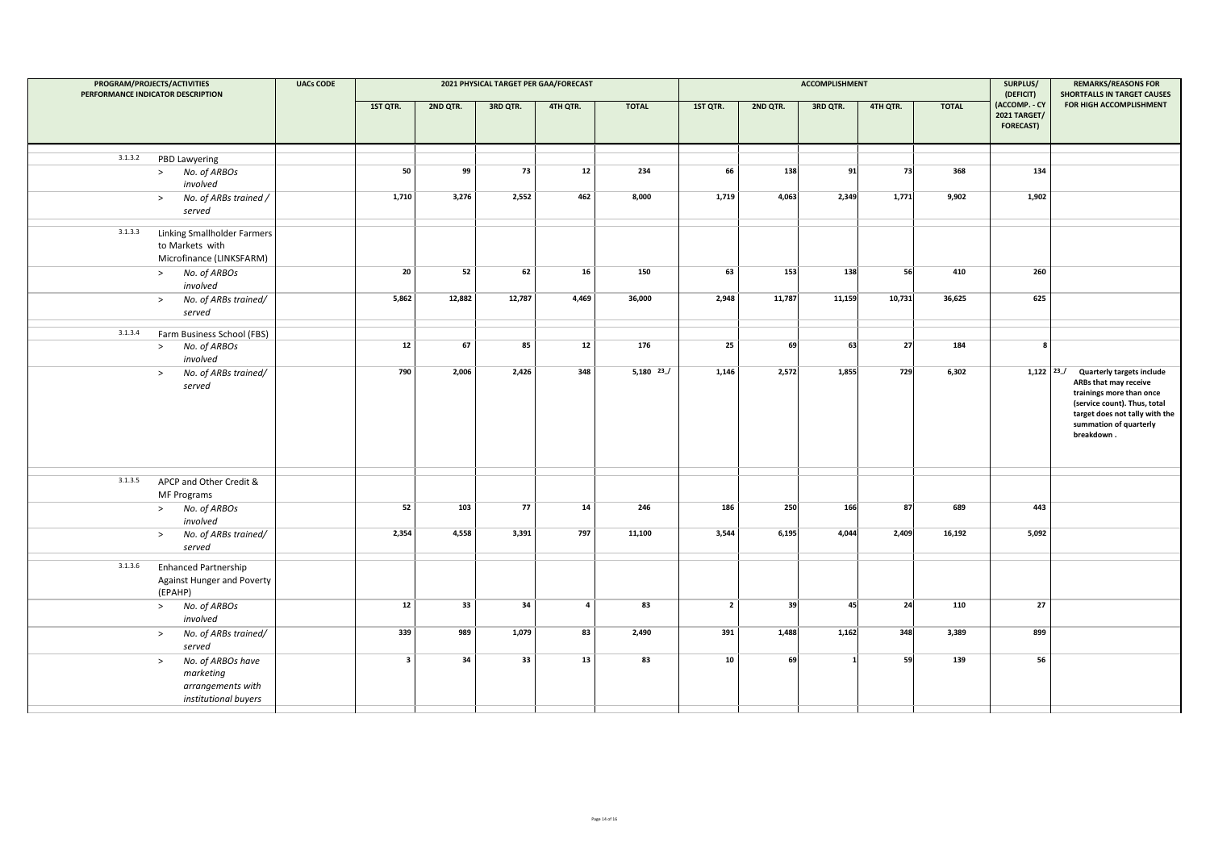| PROGRAM/PROJECTS/ACTIVITIES<br>PERFORMANCE INDICATOR DESCRIPTION |                                                                                       | <b>UACs CODE</b> |                         |          | 2021 PHYSICAL TARGET PER GAA/FORECAST |                |              |                |          | <b>ACCOMPLISHMENT</b> | SURPLUS/<br>(DEFICIT) | <b>REMARKS/REASONS FOR</b><br>SHORTFALLS IN TARGET CAUSES |                                                          |                                                                                                                                                                                                 |
|------------------------------------------------------------------|---------------------------------------------------------------------------------------|------------------|-------------------------|----------|---------------------------------------|----------------|--------------|----------------|----------|-----------------------|-----------------------|-----------------------------------------------------------|----------------------------------------------------------|-------------------------------------------------------------------------------------------------------------------------------------------------------------------------------------------------|
|                                                                  |                                                                                       |                  | 1ST QTR.                | 2ND QTR. | 3RD QTR.                              | 4TH QTR.       | <b>TOTAL</b> | 1ST QTR.       | 2ND QTR. | 3RD QTR.              | 4TH QTR.              | <b>TOTAL</b>                                              | (ACCOMP. - CY<br><b>2021 TARGET/</b><br><b>FORECAST)</b> | FOR HIGH ACCOMPLISHMENT                                                                                                                                                                         |
| 3.1.3.2                                                          | PBD Lawyering                                                                         |                  |                         |          |                                       |                |              |                |          |                       |                       |                                                           |                                                          |                                                                                                                                                                                                 |
|                                                                  | > No. of ARBOs<br>involved                                                            |                  | 50                      | 99       | 73                                    | 12             | 234          | 66             | 138      | 91                    | 73                    | 368                                                       | 134                                                      |                                                                                                                                                                                                 |
|                                                                  | No. of ARBs trained /<br>$\geq$<br>served                                             |                  | 1,710                   | 3,276    | 2,552                                 | 462            | 8,000        | 1,719          | 4,063    | 2,349                 | 1,771                 | 9,902                                                     | 1,902                                                    |                                                                                                                                                                                                 |
| 3.1.3.3                                                          | Linking Smallholder Farmers<br>to Markets with<br>Microfinance (LINKSFARM)            |                  |                         |          |                                       |                |              |                |          |                       |                       |                                                           |                                                          |                                                                                                                                                                                                 |
|                                                                  | > No. of ARBOs<br>involved                                                            |                  | 20                      | 52       | 62                                    | 16             | 150          | 63             | 153      | 138                   | 56                    | 410                                                       | 260                                                      |                                                                                                                                                                                                 |
|                                                                  | > No. of ARBs trained/<br>served                                                      |                  | 5,862                   | 12,882   | 12,787                                | 4,469          | 36,000       | 2,948          | 11,787   | 11,159                | 10,731                | 36,625                                                    | 625                                                      |                                                                                                                                                                                                 |
| 3.1.3.4                                                          | Farm Business School (FBS)                                                            |                  |                         |          |                                       |                |              |                |          |                       |                       |                                                           |                                                          |                                                                                                                                                                                                 |
|                                                                  | No. of ARBOs<br>><br>involved                                                         |                  | $12\,$                  | 67       | 85                                    | $12\,$         | 176          | 25             | 69       | 63                    | 27                    | 184                                                       | 8                                                        |                                                                                                                                                                                                 |
|                                                                  | No. of ARBs trained/<br>$\geq$<br>served                                              |                  | 790                     | 2,006    | 2,426                                 | 348            | $5,180$ $23$ | 1,146          | 2,572    | 1,855                 | 729                   | 6,302                                                     | $1,122$ $23$                                             | <b>Quarterly targets include</b><br>ARBs that may receive<br>trainings more than once<br>(service count). Thus, total<br>target does not tally with the<br>summation of quarterly<br>breakdown. |
| 3.1.3.5                                                          | APCP and Other Credit &<br><b>MF Programs</b>                                         |                  |                         |          |                                       |                |              |                |          |                       |                       |                                                           |                                                          |                                                                                                                                                                                                 |
|                                                                  | > No. of ARBOs<br>involved                                                            |                  | 52                      | 103      | 77                                    | 14             | 246          | 186            | 250      | 166                   | 87                    | 689                                                       | 443                                                      |                                                                                                                                                                                                 |
|                                                                  | No. of ARBs trained/<br>$\geq$<br>served                                              |                  | 2,354                   | 4,558    | 3,391                                 | 797            | 11,100       | 3,544          | 6,195    | 4.044                 | 2,409                 | 16,192                                                    | 5,092                                                    |                                                                                                                                                                                                 |
| 3.1.3.6                                                          | <b>Enhanced Partnership</b><br>Against Hunger and Poverty<br>(EPAHP)                  |                  |                         |          |                                       |                |              |                |          |                       |                       |                                                           |                                                          |                                                                                                                                                                                                 |
|                                                                  | > No. of ARBOs<br>involved                                                            |                  | $12\,$                  | 33       | 34                                    | $\overline{a}$ | 83           | $\overline{2}$ | 39       | 45                    | 24                    | 110                                                       | 27                                                       |                                                                                                                                                                                                 |
|                                                                  | No. of ARBs trained/<br>><br>served                                                   |                  | 339                     | 989      | 1,079                                 | 83             | 2,490        | 391            | 1,488    | 1,162                 | 348                   | 3,389                                                     | 899                                                      |                                                                                                                                                                                                 |
|                                                                  | No. of ARBOs have<br>$\geq$<br>marketing<br>arrangements with<br>institutional buyers |                  | $\overline{\mathbf{3}}$ | 34       | 33                                    | 13             | 83           | 10             | 69       | $\mathbf{1}$          | 59                    | 139                                                       | 56                                                       |                                                                                                                                                                                                 |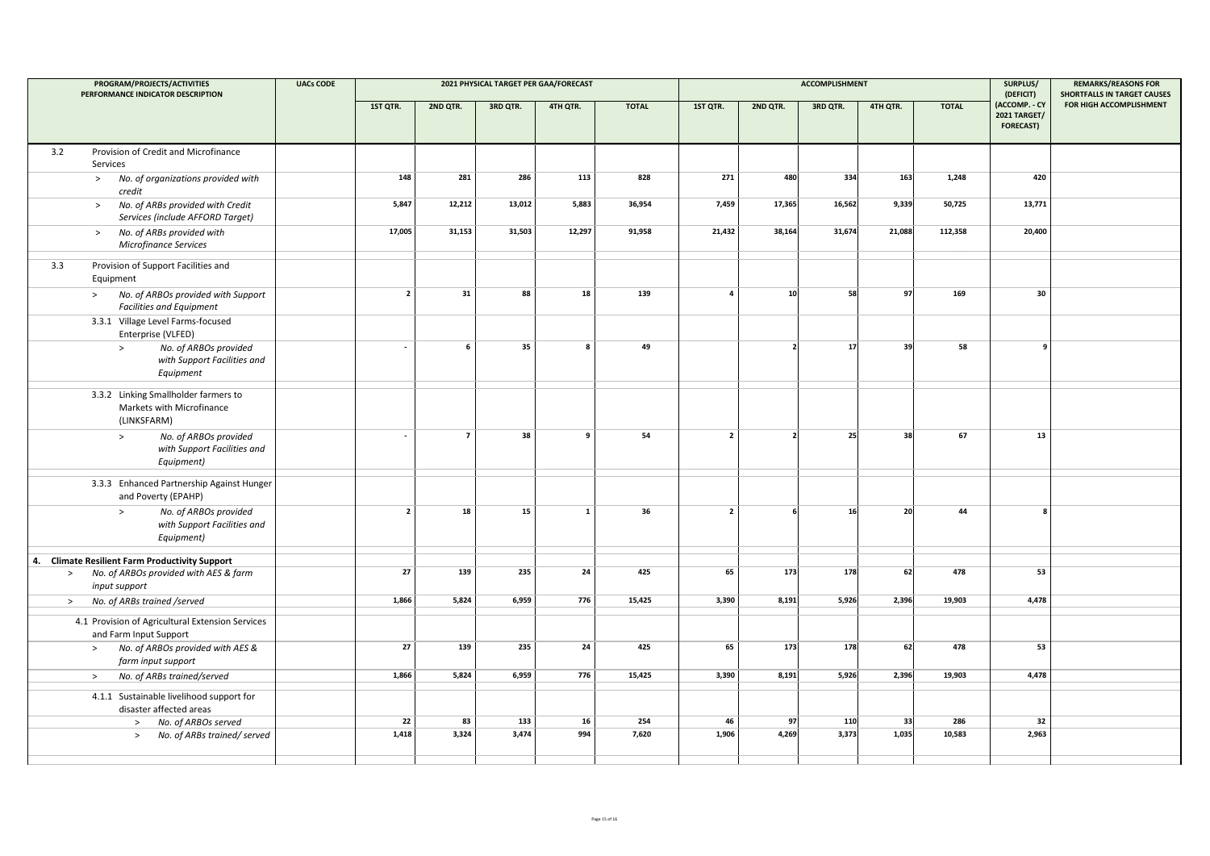| PROGRAM/PROJECTS/ACTIVITIES<br>PERFORMANCE INDICATOR DESCRIPTION |                                                                                  | <b>UACs CODE</b> | 2021 PHYSICAL TARGET PER GAA/FORECAST |                |          |              |              |                |                          | <b>ACCOMPLISHMENT</b> | SURPLUS/<br>(DEFICIT) | <b>REMARKS/REASONS FOR</b><br><b>SHORTFALLS IN TARGET CAUSES</b> |                                                          |                         |
|------------------------------------------------------------------|----------------------------------------------------------------------------------|------------------|---------------------------------------|----------------|----------|--------------|--------------|----------------|--------------------------|-----------------------|-----------------------|------------------------------------------------------------------|----------------------------------------------------------|-------------------------|
|                                                                  |                                                                                  |                  | 1ST QTR.                              | 2ND QTR.       | 3RD QTR. | 4TH QTR.     | <b>TOTAL</b> | 1ST QTR.       | 2ND QTR.                 | 3RD QTR.              | 4TH QTR.              | <b>TOTAL</b>                                                     | (ACCOMP. - CY<br><b>2021 TARGET/</b><br><b>FORECAST)</b> | FOR HIGH ACCOMPLISHMENT |
| 3.2                                                              | Provision of Credit and Microfinance<br>Services                                 |                  |                                       |                |          |              |              |                |                          |                       |                       |                                                                  |                                                          |                         |
|                                                                  | No. of organizations provided with<br>$\geq$<br>credit                           |                  | 148                                   | 281            | 286      | 113          | 828          | 271            | 480                      | 334                   | 163                   | 1,248                                                            | 420                                                      |                         |
|                                                                  | No. of ARBs provided with Credit<br>$\,>$<br>Services (include AFFORD Target)    |                  | 5,847                                 | 12,212         | 13,012   | 5,883        | 36,954       | 7,459          | 17,365                   | 16,562                | 9,339                 | 50,725                                                           | 13,771                                                   |                         |
|                                                                  | No. of ARBs provided with<br>$\geq$<br>Microfinance Services                     |                  | 17,005                                | 31,153         | 31,503   | 12,297       | 91,958       | 21,432         | 38,164                   | 31,674                | 21,088                | 112,358                                                          | 20,400                                                   |                         |
| 3.3                                                              | Provision of Support Facilities and<br>Equipment                                 |                  |                                       |                |          |              |              |                |                          |                       |                       |                                                                  |                                                          |                         |
|                                                                  | No. of ARBOs provided with Support<br>$\geq$<br><b>Facilities and Equipment</b>  |                  | $\overline{2}$                        | 31             | 88       | 18           | 139          | $\overline{a}$ | 10 <sup>1</sup>          | 58                    | 97                    | 169                                                              | 30                                                       |                         |
|                                                                  | 3.3.1 Village Level Farms-focused<br>Enterprise (VLFED)                          |                  |                                       |                |          |              |              |                |                          |                       |                       |                                                                  |                                                          |                         |
|                                                                  | No. of ARBOs provided<br>$\, >$<br>with Support Facilities and<br>Equipment      |                  | $\sim$                                | 6              | 35       | 8            | 49           |                |                          | 17                    | 39                    | 58                                                               | 9                                                        |                         |
|                                                                  | 3.3.2 Linking Smallholder farmers to<br>Markets with Microfinance<br>(LINKSFARM) |                  |                                       |                |          |              |              |                |                          |                       |                       |                                                                  |                                                          |                         |
|                                                                  | No. of ARBOs provided<br>$\geq$<br>with Support Facilities and<br>Equipment)     |                  |                                       | $\overline{7}$ | 38       | 9            | 54           | $\overline{2}$ | $\overline{\phantom{a}}$ | 25                    | 38                    | 67                                                               | 13                                                       |                         |
|                                                                  | 3.3.3 Enhanced Partnership Against Hunger<br>and Poverty (EPAHP)                 |                  |                                       |                |          |              |              |                |                          |                       |                       |                                                                  |                                                          |                         |
|                                                                  | No. of ARBOs provided<br>$\geq$<br>with Support Facilities and<br>Equipment)     |                  | $\overline{2}$                        | 18             | 15       | $\mathbf{1}$ | 36           | $\overline{2}$ |                          | 16                    | 20                    | 44                                                               | 8                                                        |                         |
|                                                                  | 4. Climate Resilient Farm Productivity Support                                   |                  |                                       |                |          |              |              |                |                          |                       |                       |                                                                  |                                                          |                         |
| $\,>$                                                            | No. of ARBOs provided with AES & farm<br>input support                           |                  | 27                                    | 139            | 235      | 24           | 425          | 65             | 173                      | 178                   | 62                    | 478                                                              | 53                                                       |                         |
| $\geq$                                                           | No. of ARBs trained /served                                                      |                  | 1,866                                 | 5,824          | 6,959    | 776          | 15,425       | 3,390          | 8,191                    | 5,926                 | 2,396                 | 19,903                                                           | 4,478                                                    |                         |
|                                                                  | 4.1 Provision of Agricultural Extension Services<br>and Farm Input Support       |                  |                                       |                |          |              |              |                |                          |                       |                       |                                                                  |                                                          |                         |
|                                                                  | No. of ARBOs provided with AES &<br>$\geq$<br>farm input support                 |                  | 27                                    | 139            | 235      | 24           | 425          | 65             | 173                      | 178                   | 62                    | 478                                                              | 53                                                       |                         |
|                                                                  | No. of ARBs trained/served<br>$\geq$                                             |                  | 1,866                                 | 5,824          | 6,959    | 776          | 15,425       | 3,390          | 8,191                    | 5,926                 | 2,396                 | 19,903                                                           | 4,478                                                    |                         |
|                                                                  | 4.1.1 Sustainable livelihood support for<br>disaster affected areas              |                  |                                       |                |          |              |              |                |                          |                       |                       |                                                                  |                                                          |                         |
|                                                                  | No. of ARBOs served<br>$\geq$                                                    |                  | 22                                    | 83             | 133      | 16           | 254          | 46             | 97                       | 110                   | 33                    | 286                                                              | 32                                                       |                         |
|                                                                  | No. of ARBs trained/ served<br>$\geq$                                            |                  | 1,418                                 | 3,324          | 3,474    | 994          | 7,620        | 1,906          | 4,269                    | 3,373                 | 1,035                 | 10,583                                                           | 2,963                                                    |                         |
|                                                                  |                                                                                  |                  |                                       |                |          |              |              |                |                          |                       |                       |                                                                  |                                                          |                         |